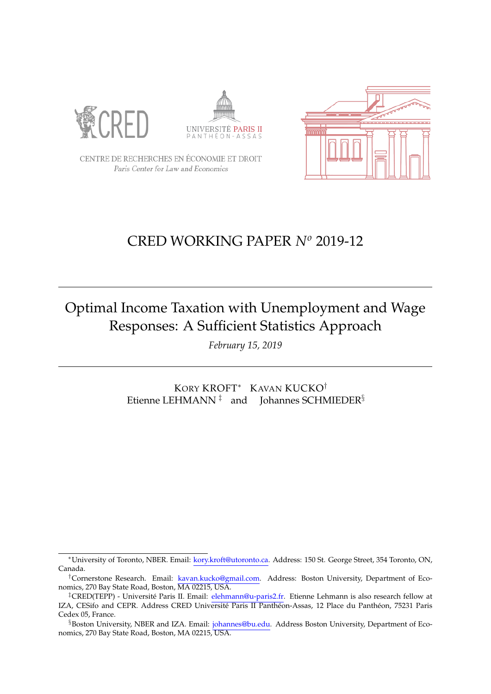





CENTRE DE RECHERCHES EN ÉCONOMIE ET DROIT Paris Center for Law and Economics

## CRED WORKING PAPER *N<sup>o</sup>* 2019-12

# Optimal Income Taxation with Unemployment and Wage Responses: A Sufficient Statistics Approach

*February 15, 2019*

KORY KROFT<sup>∗</sup> KAVAN KUCKO† Etienne LEHMANN<sup> $\ddagger$ </sup> and Johannes SCHMIEDER<sup>§</sup>

<sup>∗</sup>University of Toronto, NBER. Email: [kory.kroft@utoronto.ca.](mailto:kory.kroft@utoronto.ca) Address: 150 St. George Street, 354 Toronto, ON, Canada.

<sup>†</sup>Cornerstone Research. Email: [kavan.kucko@gmail.com.](mailto:kavan.kucko@gmail.com) Address: Boston University, Department of Economics, 270 Bay State Road, Boston, MA 02215, USA.

<sup>&</sup>lt;sup>‡</sup>CRED(TEPP) - Université Paris II. Email: [elehmann@u-paris2.fr.](mailto:etienne.lehmann@gmail.com) Etienne Lehmann is also research fellow at IZA, CESifo and CEPR. Address CRED Université Paris II Panthéon-Assas, 12 Place du Panthéon, 75231 Paris Cedex 05, France.

<sup>§</sup>Boston University, NBER and IZA. Email: [johannes@bu.edu.](mailto:johannes@bu.edu) Address Boston University, Department of Economics, 270 Bay State Road, Boston, MA 02215, USA.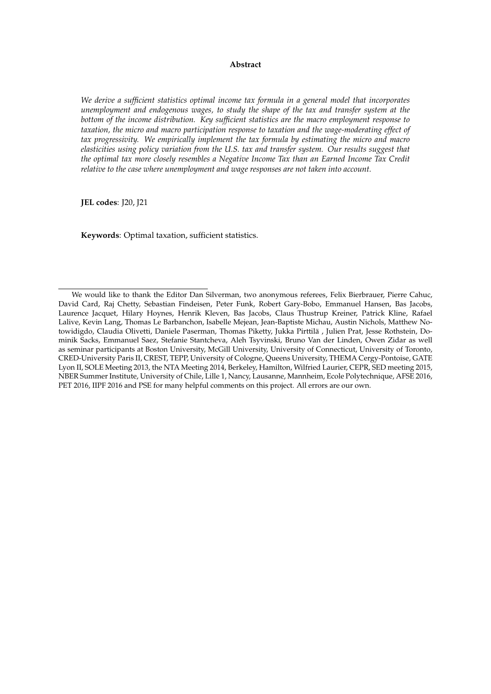#### **Abstract**

*We derive a sufficient statistics optimal income tax formula in a general model that incorporates unemployment and endogenous wages, to study the shape of the tax and transfer system at the bottom of the income distribution. Key sufficient statistics are the macro employment response to taxation, the micro and macro participation response to taxation and the wage-moderating effect of tax progressivity. We empirically implement the tax formula by estimating the micro and macro elasticities using policy variation from the U.S. tax and transfer system. Our results suggest that the optimal tax more closely resembles a Negative Income Tax than an Earned Income Tax Credit relative to the case where unemployment and wage responses are not taken into account[.](#page-1-0)*

**JEL codes**: J20, J21

**Keywords**: Optimal taxation, sufficient statistics.

<span id="page-1-0"></span>We would like to thank the Editor Dan Silverman, two anonymous referees, Felix Bierbrauer, Pierre Cahuc, David Card, Raj Chetty, Sebastian Findeisen, Peter Funk, Robert Gary-Bobo, Emmanuel Hansen, Bas Jacobs, Laurence Jacquet, Hilary Hoynes, Henrik Kleven, Bas Jacobs, Claus Thustrup Kreiner, Patrick Kline, Rafael Lalive, Kevin Lang, Thomas Le Barbanchon, Isabelle Mejean, Jean-Baptiste Michau, Austin Nichols, Matthew Notowidigdo, Claudia Olivetti, Daniele Paserman, Thomas Piketty, Jukka Pirttilä, Julien Prat, Jesse Rothstein, Dominik Sacks, Emmanuel Saez, Stefanie Stantcheva, Aleh Tsyvinski, Bruno Van der Linden, Owen Zidar as well as seminar participants at Boston University, McGill University, University of Connecticut, University of Toronto, CRED-University Paris II, CREST, TEPP, University of Cologne, Queens University, THEMA Cergy-Pontoise, GATE Lyon II, SOLE Meeting 2013, the NTA Meeting 2014, Berkeley, Hamilton, Wilfried Laurier, CEPR, SED meeting 2015, NBER Summer Institute, University of Chile, Lille 1, Nancy, Lausanne, Mannheim, Ecole Polytechnique, AFSE 2016, PET 2016, IIPF 2016 and PSE for many helpful comments on this project. All errors are our own.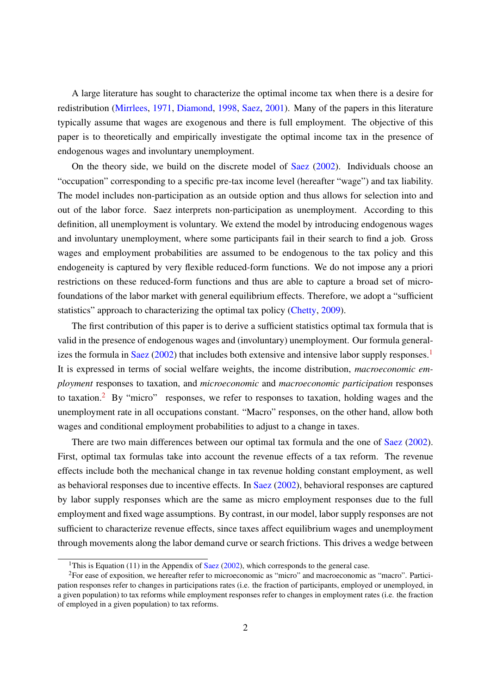A large literature has sought to characterize the optimal income tax when there is a desire for redistribution (Mirrlees, 1971, Diamond, 1998, Saez, 2001). Many of the papers in this literature typically assume that wages are exogenous and there is full employment. The objective of this paper is to theoretically and empirically investigate the optimal income tax in the presence of endogenous wages and involuntary unemployment.

On the theory side, we build on the discrete model of Saez (2002). Individuals choose an "occupation" corresponding to a specific pre-tax income level (hereafter "wage") and tax liability. The model includes non-participation as an outside option and thus allows for selection into and out of the labor force. Saez interprets non-participation as unemployment. According to this definition, all unemployment is voluntary. We extend the model by introducing endogenous wages and involuntary unemployment, where some participants fail in their search to find a job. Gross wages and employment probabilities are assumed to be endogenous to the tax policy and this endogeneity is captured by very flexible reduced-form functions. We do not impose any a priori restrictions on these reduced-form functions and thus are able to capture a broad set of microfoundations of the labor market with general equilibrium effects. Therefore, we adopt a "sufficient statistics" approach to characterizing the optimal tax policy (Chetty, 2009).

The first contribution of this paper is to derive a sufficient statistics optimal tax formula that is valid in the presence of endogenous wages and (involuntary) unemployment. Our formula generalizes the formula in Saez  $(2002)$  that includes both extensive and intensive labor supply responses.<sup>1</sup> It is expressed in terms of social welfare weights, the income distribution, *macroeconomic employment* responses to taxation, and *microeconomic* and *macroeconomic participation* responses to taxation.<sup>2</sup> By "micro" responses, we refer to responses to taxation, holding wages and the unemployment rate in all occupations constant. "Macro" responses, on the other hand, allow both wages and conditional employment probabilities to adjust to a change in taxes.

There are two main differences between our optimal tax formula and the one of Saez (2002). First, optimal tax formulas take into account the revenue effects of a tax reform. The revenue effects include both the mechanical change in tax revenue holding constant employment, as well as behavioral responses due to incentive effects. In Saez (2002), behavioral responses are captured by labor supply responses which are the same as micro employment responses due to the full employment and fixed wage assumptions. By contrast, in our model, labor supply responses are not sufficient to characterize revenue effects, since taxes affect equilibrium wages and unemployment through movements along the labor demand curve or search frictions. This drives a wedge between

<sup>&</sup>lt;sup>1</sup>This is Equation (11) in the Appendix of Saez (2002), which corresponds to the general case.

<sup>2</sup>For ease of exposition, we hereafter refer to microeconomic as "micro" and macroeconomic as "macro". Participation responses refer to changes in participations rates (i.e. the fraction of participants, employed or unemployed, in a given population) to tax reforms while employment responses refer to changes in employment rates (i.e. the fraction of employed in a given population) to tax reforms.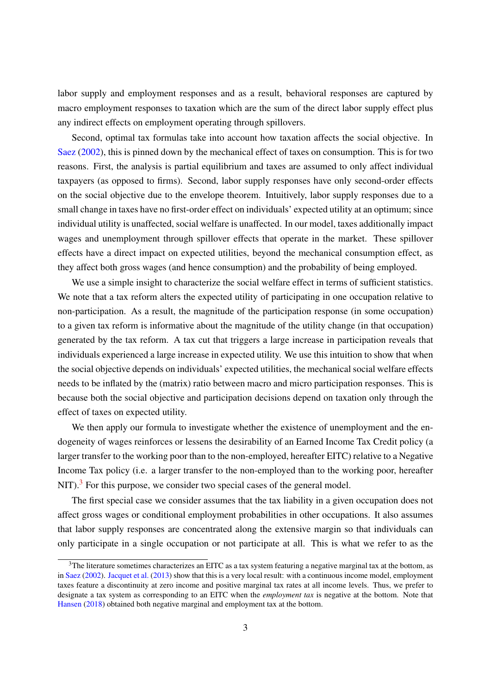labor supply and employment responses and as a result, behavioral responses are captured by macro employment responses to taxation which are the sum of the direct labor supply effect plus any indirect effects on employment operating through spillovers.

Second, optimal tax formulas take into account how taxation affects the social objective. In Saez (2002), this is pinned down by the mechanical effect of taxes on consumption. This is for two reasons. First, the analysis is partial equilibrium and taxes are assumed to only affect individual taxpayers (as opposed to firms). Second, labor supply responses have only second-order effects on the social objective due to the envelope theorem. Intuitively, labor supply responses due to a small change in taxes have no first-order effect on individuals' expected utility at an optimum; since individual utility is unaffected, social welfare is unaffected. In our model, taxes additionally impact wages and unemployment through spillover effects that operate in the market. These spillover effects have a direct impact on expected utilities, beyond the mechanical consumption effect, as they affect both gross wages (and hence consumption) and the probability of being employed.

We use a simple insight to characterize the social welfare effect in terms of sufficient statistics. We note that a tax reform alters the expected utility of participating in one occupation relative to non-participation. As a result, the magnitude of the participation response (in some occupation) to a given tax reform is informative about the magnitude of the utility change (in that occupation) generated by the tax reform. A tax cut that triggers a large increase in participation reveals that individuals experienced a large increase in expected utility. We use this intuition to show that when the social objective depends on individuals' expected utilities, the mechanical social welfare effects needs to be inflated by the (matrix) ratio between macro and micro participation responses. This is because both the social objective and participation decisions depend on taxation only through the effect of taxes on expected utility.

We then apply our formula to investigate whether the existence of unemployment and the endogeneity of wages reinforces or lessens the desirability of an Earned Income Tax Credit policy (a larger transfer to the working poor than to the non-employed, hereafter EITC) relative to a Negative Income Tax policy (i.e. a larger transfer to the non-employed than to the working poor, hereafter NIT).<sup>3</sup> For this purpose, we consider two special cases of the general model.

The first special case we consider assumes that the tax liability in a given occupation does not affect gross wages or conditional employment probabilities in other occupations. It also assumes that labor supply responses are concentrated along the extensive margin so that individuals can only participate in a single occupation or not participate at all. This is what we refer to as the

<sup>&</sup>lt;sup>3</sup>The literature sometimes characterizes an EITC as a tax system featuring a negative marginal tax at the bottom, as in Saez (2002). Jacquet et al. (2013) show that this is a very local result: with a continuous income model, employment taxes feature a discontinuity at zero income and positive marginal tax rates at all income levels. Thus, we prefer to designate a tax system as corresponding to an EITC when the *employment tax* is negative at the bottom. Note that Hansen (2018) obtained both negative marginal and employment tax at the bottom.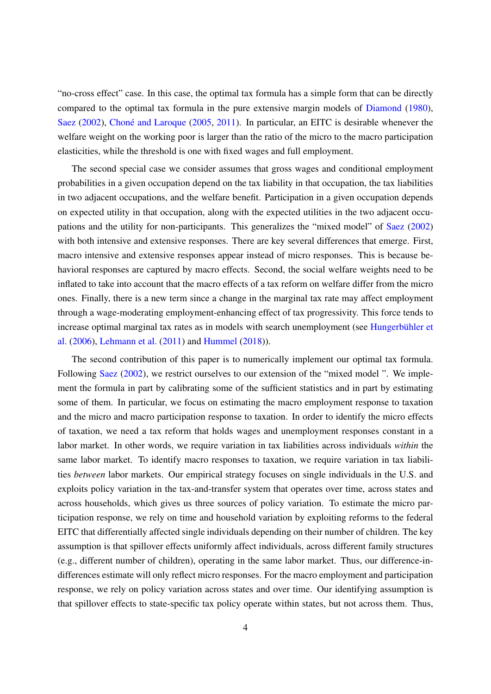"no-cross effect" case. In this case, the optimal tax formula has a simple form that can be directly compared to the optimal tax formula in the pure extensive margin models of Diamond (1980), Saez (2002), Choné and Laroque (2005, 2011). In particular, an EITC is desirable whenever the welfare weight on the working poor is larger than the ratio of the micro to the macro participation elasticities, while the threshold is one with fixed wages and full employment.

The second special case we consider assumes that gross wages and conditional employment probabilities in a given occupation depend on the tax liability in that occupation, the tax liabilities in two adjacent occupations, and the welfare benefit. Participation in a given occupation depends on expected utility in that occupation, along with the expected utilities in the two adjacent occupations and the utility for non-participants. This generalizes the "mixed model" of Saez (2002) with both intensive and extensive responses. There are key several differences that emerge. First, macro intensive and extensive responses appear instead of micro responses. This is because behavioral responses are captured by macro effects. Second, the social welfare weights need to be inflated to take into account that the macro effects of a tax reform on welfare differ from the micro ones. Finally, there is a new term since a change in the marginal tax rate may affect employment through a wage-moderating employment-enhancing effect of tax progressivity. This force tends to increase optimal marginal tax rates as in models with search unemployment (see Hungerbühler et al. (2006), Lehmann et al. (2011) and Hummel (2018)).

The second contribution of this paper is to numerically implement our optimal tax formula. Following Saez (2002), we restrict ourselves to our extension of the "mixed model". We implement the formula in part by calibrating some of the sufficient statistics and in part by estimating some of them. In particular, we focus on estimating the macro employment response to taxation and the micro and macro participation response to taxation. In order to identify the micro effects of taxation, we need a tax reform that holds wages and unemployment responses constant in a labor market. In other words, we require variation in tax liabilities across individuals *within* the same labor market. To identify macro responses to taxation, we require variation in tax liabilities *between* labor markets. Our empirical strategy focuses on single individuals in the U.S. and exploits policy variation in the tax-and-transfer system that operates over time, across states and across households, which gives us three sources of policy variation. To estimate the micro participation response, we rely on time and household variation by exploiting reforms to the federal EITC that differentially affected single individuals depending on their number of children. The key assumption is that spillover effects uniformly affect individuals, across different family structures (e.g., different number of children), operating in the same labor market. Thus, our difference-indifferences estimate will only reflect micro responses. For the macro employment and participation response, we rely on policy variation across states and over time. Our identifying assumption is that spillover effects to state-specific tax policy operate within states, but not across them. Thus,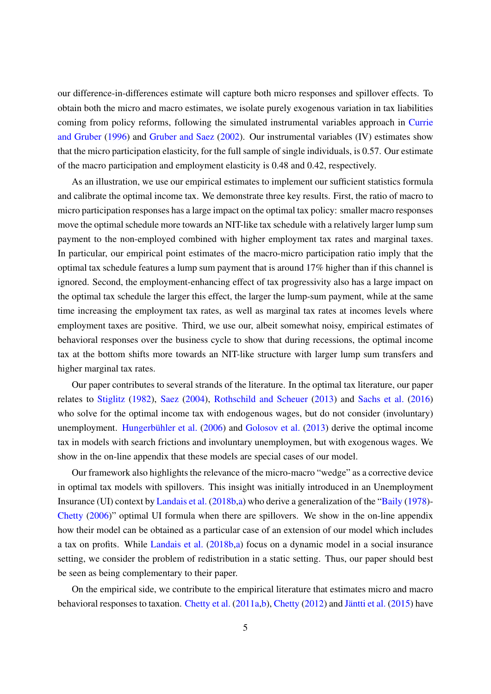our difference-in-differences estimate will capture both micro responses and spillover effects. To obtain both the micro and macro estimates, we isolate purely exogenous variation in tax liabilities coming from policy reforms, following the simulated instrumental variables approach in Currie and Gruber (1996) and Gruber and Saez (2002). Our instrumental variables (IV) estimates show that the micro participation elasticity, for the full sample of single individuals, is 0.57. Our estimate of the macro participation and employment elasticity is 0.48 and 0.42, respectively.

As an illustration, we use our empirical estimates to implement our sufficient statistics formula and calibrate the optimal income tax. We demonstrate three key results. First, the ratio of macro to micro participation responses has a large impact on the optimal tax policy: smaller macro responses move the optimal schedule more towards an NIT-like tax schedule with a relatively larger lump sum payment to the non-employed combined with higher employment tax rates and marginal taxes. In particular, our empirical point estimates of the macro-micro participation ratio imply that the optimal tax schedule features a lump sum payment that is around 17% higher than if this channel is ignored. Second, the employment-enhancing effect of tax progressivity also has a large impact on the optimal tax schedule the larger this effect, the larger the lump-sum payment, while at the same time increasing the employment tax rates, as well as marginal tax rates at incomes levels where employment taxes are positive. Third, we use our, albeit somewhat noisy, empirical estimates of behavioral responses over the business cycle to show that during recessions, the optimal income tax at the bottom shifts more towards an NIT-like structure with larger lump sum transfers and higher marginal tax rates.

Our paper contributes to several strands of the literature. In the optimal tax literature, our paper relates to Stiglitz (1982), Saez (2004), Rothschild and Scheuer (2013) and Sachs et al. (2016) who solve for the optimal income tax with endogenous wages, but do not consider (involuntary) unemployment. Hungerbühler et al. (2006) and Golosov et al. (2013) derive the optimal income tax in models with search frictions and involuntary unemploymen, but with exogenous wages. We show in the on-line appendix that these models are special cases of our model.

Our framework also highlights the relevance of the micro-macro "wedge" as a corrective device in optimal tax models with spillovers. This insight was initially introduced in an Unemployment Insurance (UI) context by Landais et al. (2018b,a) who derive a generalization of the "Baily (1978)- Chetty (2006)" optimal UI formula when there are spillovers. We show in the on-line appendix how their model can be obtained as a particular case of an extension of our model which includes a tax on profits. While Landais et al. (2018b,a) focus on a dynamic model in a social insurance setting, we consider the problem of redistribution in a static setting. Thus, our paper should best be seen as being complementary to their paper.

On the empirical side, we contribute to the empirical literature that estimates micro and macro behavioral responses to taxation. Chetty et al. (2011a,b), Chetty (2012) and Jäntti et al. (2015) have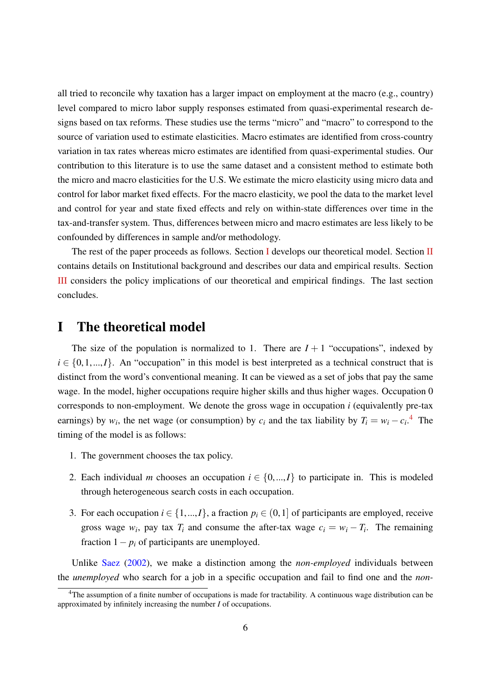all tried to reconcile why taxation has a larger impact on employment at the macro (e.g., country) level compared to micro labor supply responses estimated from quasi-experimental research designs based on tax reforms. These studies use the terms "micro" and "macro" to correspond to the source of variation used to estimate elasticities. Macro estimates are identified from cross-country variation in tax rates whereas micro estimates are identified from quasi-experimental studies. Our contribution to this literature is to use the same dataset and a consistent method to estimate both the micro and macro elasticities for the U.S. We estimate the micro elasticity using micro data and control for labor market fixed effects. For the macro elasticity, we pool the data to the market level and control for year and state fixed effects and rely on within-state differences over time in the tax-and-transfer system. Thus, differences between micro and macro estimates are less likely to be confounded by differences in sample and/or methodology.

The rest of the paper proceeds as follows. Section I develops our theoretical model. Section II contains details on Institutional background and describes our data and empirical results. Section III considers the policy implications of our theoretical and empirical findings. The last section concludes.

### I The theoretical model

The size of the population is normalized to 1. There are  $I + 1$  "occupations", indexed by  $i \in \{0,1,...,I\}$ . An "occupation" in this model is best interpreted as a technical construct that is distinct from the word's conventional meaning. It can be viewed as a set of jobs that pay the same wage. In the model, higher occupations require higher skills and thus higher wages. Occupation 0 corresponds to non-employment. We denote the gross wage in occupation *i* (equivalently pre-tax earnings) by  $w_i$ , the net wage (or consumption) by  $c_i$  and the tax liability by  $T_i = w_i - c_i$ <sup>4</sup>. The timing of the model is as follows:

- 1. The government chooses the tax policy.
- 2. Each individual *m* chooses an occupation  $i \in \{0, ..., I\}$  to participate in. This is modeled through heterogeneous search costs in each occupation.
- 3. For each occupation  $i \in \{1,...,I\}$ , a fraction  $p_i \in (0,1]$  of participants are employed, receive gross wage  $w_i$ , pay tax  $T_i$  and consume the after-tax wage  $c_i = w_i - T_i$ . The remaining fraction  $1 - p_i$  of participants are unemployed.

Unlike Saez (2002), we make a distinction among the *non-employed* individuals between the *unemployed* who search for a job in a specific occupation and fail to find one and the *non-*

<sup>4</sup>The assumption of a finite number of occupations is made for tractability. A continuous wage distribution can be approximated by infinitely increasing the number *I* of occupations.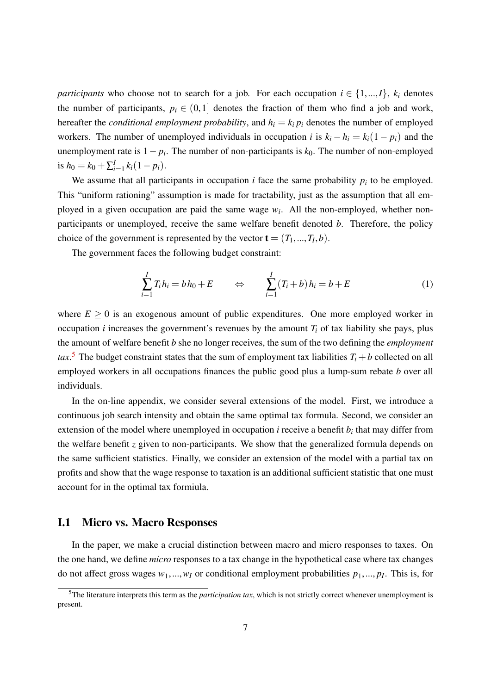*participants* who choose not to search for a job. For each occupation  $i \in \{1, ..., I\}$ ,  $k_i$  denotes the number of participants,  $p_i \in (0,1]$  denotes the fraction of them who find a job and work, hereafter the *conditional employment probability*, and  $h_i = k_i p_i$  denotes the number of employed workers. The number of unemployed individuals in occupation *i* is  $k_i - h_i = k_i(1 - p_i)$  and the unemployment rate is 1− *p<sup>i</sup>* . The number of non-participants is *k*0. The number of non-employed is  $h_0 = k_0 + \sum_{i=1}^{I} k_i (1 - p_i)$ .

We assume that all participants in occupation  $i$  face the same probability  $p_i$  to be employed. This "uniform rationing" assumption is made for tractability, just as the assumption that all employed in a given occupation are paid the same wage  $w_i$ . All the non-employed, whether nonparticipants or unemployed, receive the same welfare benefit denoted *b*. Therefore, the policy choice of the government is represented by the vector  $\mathbf{t} = (T_1, ..., T_I, b)$ .

The government faces the following budget constraint:

$$
\sum_{i=1}^{I} T_i h_i = b h_0 + E \qquad \Leftrightarrow \qquad \sum_{i=1}^{I} (T_i + b) h_i = b + E \qquad (1)
$$

where  $E \geq 0$  is an exogenous amount of public expenditures. One more employed worker in occupation *i* increases the government's revenues by the amount  $T_i$  of tax liability she pays, plus the amount of welfare benefit *b* she no longer receives, the sum of the two defining the *employment tax*.<sup>5</sup> The budget constraint states that the sum of employment tax liabilities  $T_i + b$  collected on all employed workers in all occupations finances the public good plus a lump-sum rebate *b* over all individuals.

In the on-line appendix, we consider several extensions of the model. First, we introduce a continuous job search intensity and obtain the same optimal tax formula. Second, we consider an extension of the model where unemployed in occupation *i* receive a benefit *b<sup>i</sup>* that may differ from the welfare benefit *z* given to non-participants. We show that the generalized formula depends on the same sufficient statistics. Finally, we consider an extension of the model with a partial tax on profits and show that the wage response to taxation is an additional sufficient statistic that one must account for in the optimal tax formiula.

#### I.1 Micro vs. Macro Responses

In the paper, we make a crucial distinction between macro and micro responses to taxes. On the one hand, we define *micro* responses to a tax change in the hypothetical case where tax changes do not affect gross wages  $w_1, ..., w_I$  or conditional employment probabilities  $p_1, ..., p_I$ . This is, for

<sup>5</sup>The literature interprets this term as the *participation tax*, which is not strictly correct whenever unemployment is present.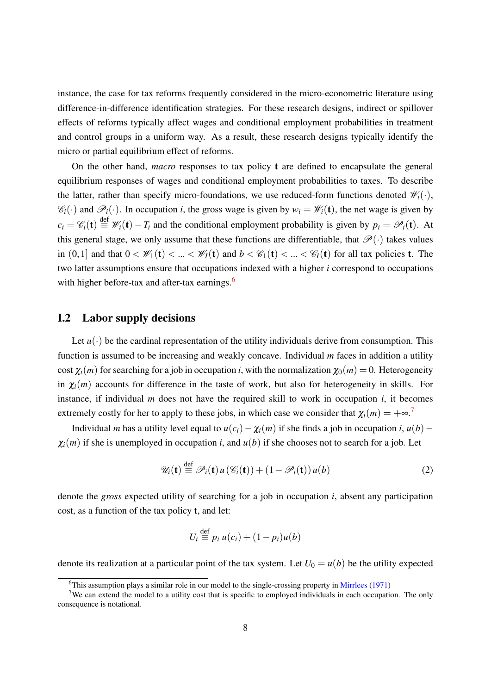instance, the case for tax reforms frequently considered in the micro-econometric literature using difference-in-difference identification strategies. For these research designs, indirect or spillover effects of reforms typically affect wages and conditional employment probabilities in treatment and control groups in a uniform way. As a result, these research designs typically identify the micro or partial equilibrium effect of reforms.

On the other hand, *macro* responses to tax policy t are defined to encapsulate the general equilibrium responses of wages and conditional employment probabilities to taxes. To describe the latter, rather than specify micro-foundations, we use reduced-form functions denoted  $\mathcal{W}_i(\cdot)$ ,  $\mathscr{C}_i(\cdot)$  and  $\mathscr{P}_i(\cdot)$ . In occupation *i*, the gross wage is given by  $w_i = \mathscr{W}_i(\mathbf{t})$ , the net wage is given by  $c_i = \mathcal{C}_i(\mathbf{t}) \stackrel{\text{def}}{=} \mathcal{W}_i(\mathbf{t}) - T_i$  and the conditional employment probability is given by  $p_i = \mathcal{P}_i(\mathbf{t})$ . At this general stage, we only assume that these functions are differentiable, that  $\mathscr{P}(\cdot)$  takes values in  $(0,1]$  and that  $0 < \mathcal{W}_1(\mathbf{t}) < ... < \mathcal{W}_I(\mathbf{t})$  and  $b < \mathcal{C}_1(\mathbf{t}) < ... < \mathcal{C}_I(\mathbf{t})$  for all tax policies **t**. The two latter assumptions ensure that occupations indexed with a higher *i* correspond to occupations with higher before-tax and after-tax earnings. $6$ 

#### I.2 Labor supply decisions

Let  $u(\cdot)$  be the cardinal representation of the utility individuals derive from consumption. This function is assumed to be increasing and weakly concave. Individual *m* faces in addition a utility cost  $\chi_i(m)$  for searching for a job in occupation *i*, with the normalization  $\chi_0(m) = 0$ . Heterogeneity in  $\chi_i(m)$  accounts for difference in the taste of work, but also for heterogeneity in skills. For instance, if individual *m* does not have the required skill to work in occupation *i*, it becomes extremely costly for her to apply to these jobs, in which case we consider that  $\chi_i(m) = +\infty$ .<sup>7</sup>

Individual *m* has a utility level equal to  $u(c_i) - \chi_i(m)$  if she finds a job in occupation *i*,  $u(b)$  −  $\chi_i(m)$  if she is unemployed in occupation *i*, and  $u(b)$  if she chooses not to search for a job. Let

$$
\mathscr{U}_i(\mathbf{t}) \stackrel{\text{def}}{=} \mathscr{P}_i(\mathbf{t}) u(\mathscr{C}_i(\mathbf{t})) + (1 - \mathscr{P}_i(\mathbf{t})) u(b)
$$
(2)

denote the *gross* expected utility of searching for a job in occupation *i*, absent any participation cost, as a function of the tax policy t, and let:

$$
U_i \stackrel{\text{def}}{=} p_i u(c_i) + (1 - p_i)u(b)
$$

denote its realization at a particular point of the tax system. Let  $U_0 = u(b)$  be the utility expected

<sup>6</sup>This assumption plays a similar role in our model to the single-crossing property in Mirrlees (1971)

<sup>&</sup>lt;sup>7</sup>We can extend the model to a utility cost that is specific to employed individuals in each occupation. The only consequence is notational.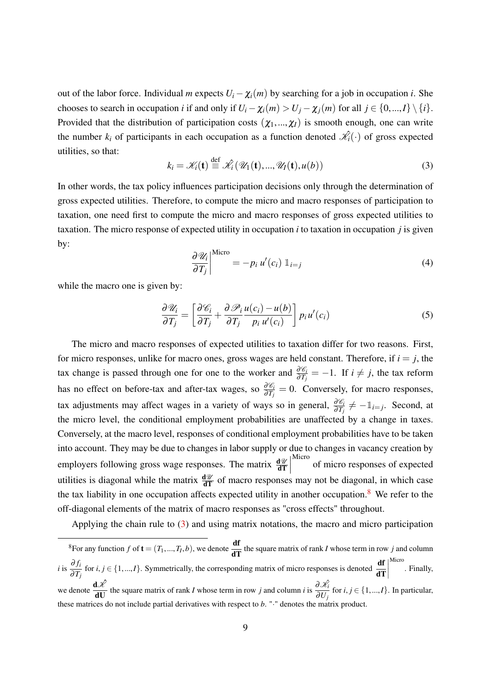out of the labor force. Individual *m* expects  $U_i - \chi_i(m)$  by searching for a job in occupation *i*. She chooses to search in occupation *i* if and only if  $U_i - \chi_i(m) > U_j - \chi_j(m)$  for all  $j \in \{0, ..., I\} \setminus \{i\}.$ Provided that the distribution of participation costs  $(\chi_1, ..., \chi_l)$  is smooth enough, one can write the number  $k_i$  of participants in each occupation as a function denoted  $\hat{\mathcal{K}}_i(\cdot)$  of gross expected utilities, so that:

$$
k_i = \mathcal{K}_i(\mathbf{t}) \stackrel{\text{def}}{=} \mathcal{K}_i(\mathcal{U}_1(\mathbf{t}), ..., \mathcal{U}_I(\mathbf{t}), u(b))
$$
(3)

In other words, the tax policy influences participation decisions only through the determination of gross expected utilities. Therefore, to compute the micro and macro responses of participation to taxation, one need first to compute the micro and macro responses of gross expected utilities to taxation. The micro response of expected utility in occupation *i* to taxation in occupation *j* is given by:

$$
\left. \frac{\partial \mathcal{U}_i}{\partial T_j} \right|^{\text{Micro}} = -p_i \, u'(c_i) \, \mathbb{1}_{i=j} \tag{4}
$$

while the macro one is given by:

$$
\frac{\partial \mathcal{U}_i}{\partial T_j} = \left[ \frac{\partial \mathcal{C}_i}{\partial T_j} + \frac{\partial \mathcal{P}_i}{\partial T_j} \frac{u(c_i) - u(b)}{p_i u'(c_i)} \right] p_i u'(c_i)
$$
(5)

The micro and macro responses of expected utilities to taxation differ for two reasons. First, for micro responses, unlike for macro ones, gross wages are held constant. Therefore, if  $i = j$ , the tax change is passed through one for one to the worker and  $\frac{\partial \mathscr{C}_i}{\partial T_j} = -1$ . If  $i \neq j$ , the tax reform has no effect on before-tax and after-tax wages, so  $\frac{\partial \mathscr{C}_i}{\partial T_j} = 0$ . Conversely, for macro responses, tax adjustments may affect wages in a variety of ways so in general,  $\frac{\partial \mathscr{C}_i}{\partial T_j} \neq -\mathbb{1}_{i=j}$ . Second, at the micro level, the conditional employment probabilities are unaffected by a change in taxes. Conversely, at the macro level, responses of conditional employment probabilities have to be taken into account. They may be due to changes in labor supply or due to changes in vacancy creation by employers following gross wage responses. The matrix  $\frac{d\mathcal{U}}{dT}$  Micro of micro responses of expected utilities is diagonal while the matrix  $\frac{d\mathcal{U}}{d\mathbf{T}}$  of macro responses may not be diagonal, in which case the tax liability in one occupation affects expected utility in another occupation.<sup>8</sup> We refer to the off-diagonal elements of the matrix of macro responses as "cross effects" throughout.

Applying the chain rule to (3) and using matrix notations, the macro and micro participation

<sup>&</sup>lt;sup>8</sup>For any function *f* of  $\mathbf{t} = (T_1, ..., T_I, b)$ , we denote  $\frac{d\mathbf{f}}{d\mathbf{T}}$  the square matrix of rank *I* whose term in row *j* and column *i* is  $\frac{\partial f_i}{\partial T_j}$  for *i*, *j* ∈ {1, ...,*I*}. Symmetrically, the corresponding matrix of micro responses is denoted  $\frac{df}{dT}$  $\begin{array}{c} \begin{array}{c} \begin{array}{c} \end{array} \\ \begin{array}{c} \end{array} \end{array} \end{array}$ Micro . Finally, we denote  $\frac{d\hat{\mathcal{X}}}{dU}$  the square matrix of rank *I* whose term in row *j* and column *i* is  $\frac{\partial \hat{\mathcal{X}}_i}{\partial U_j}$  $\frac{\partial}{\partial U_j}$  for *i*, *j* ∈ {1, ...,*I*}. In particular, these matrices do not include partial derivatives with respect to *b*. "·" denotes the matrix product.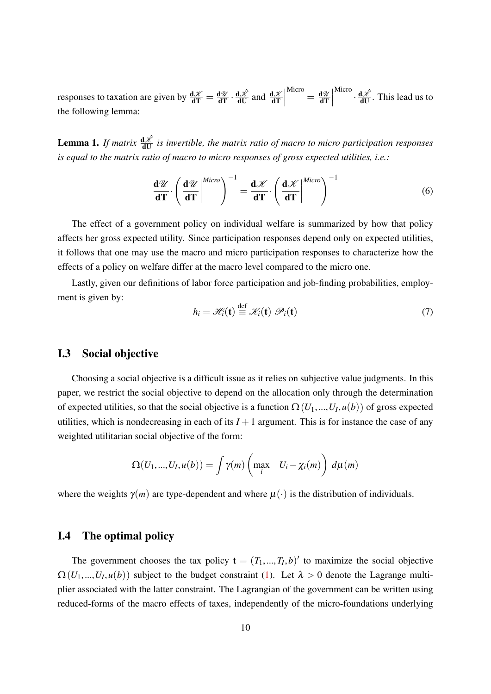responses to taxation are given by  $\frac{d\mathcal{X}}{dT} = \frac{d\mathcal{U}}{dT} \cdot \frac{d\mathcal{X}}{dU}$  and  $\frac{d\mathcal{X}}{dT}$   $\frac{d\mathscr{U}}{dT}$  Micro  $\cdot \frac{d \mathcal{L}}{dU}$ . This lead us to the following lemma:

**Lemma 1.** If matrix  $\frac{d\mathcal{X}}{dU}$  is invertible, the matrix ratio of macro to micro participation responses *is equal to the matrix ratio of macro to micro responses of gross expected utilities, i.e.:*

$$
\frac{\mathbf{d}\mathscr{U}}{\mathbf{d}\mathbf{T}} \cdot \left(\frac{\mathbf{d}\mathscr{U}}{\mathbf{d}\mathbf{T}}\middle|^{Micro}\right)^{-1} = \frac{\mathbf{d}\mathscr{K}}{\mathbf{d}\mathbf{T}} \cdot \left(\frac{\mathbf{d}\mathscr{K}}{\mathbf{d}\mathbf{T}}\middle|^{Micro}\right)^{-1} \tag{6}
$$

The effect of a government policy on individual welfare is summarized by how that policy affects her gross expected utility. Since participation responses depend only on expected utilities, it follows that one may use the macro and micro participation responses to characterize how the effects of a policy on welfare differ at the macro level compared to the micro one.

Lastly, given our definitions of labor force participation and job-finding probabilities, employment is given by:

$$
h_i = \mathcal{H}_i(\mathbf{t}) \stackrel{\text{def}}{=} \mathcal{K}_i(\mathbf{t}) \mathcal{P}_i(\mathbf{t}) \tag{7}
$$

#### I.3 Social objective

Choosing a social objective is a difficult issue as it relies on subjective value judgments. In this paper, we restrict the social objective to depend on the allocation only through the determination of expected utilities, so that the social objective is a function  $\Omega(U_1,...,U_I,u(b))$  of gross expected utilities, which is nondecreasing in each of its  $I + 1$  argument. This is for instance the case of any weighted utilitarian social objective of the form:

$$
\Omega(U_1,...,U_I,u(b)) = \int \gamma(m) \left( \max_i \quad U_i - \chi_i(m) \right) d\mu(m)
$$

where the weights  $\gamma(m)$  are type-dependent and where  $\mu(\cdot)$  is the distribution of individuals.

#### I.4 The optimal policy

The government chooses the tax policy  $\mathbf{t} = (T_1, ..., T_I, b)'$  to maximize the social objective  $\Omega(U_1,...,U_I,u(b))$  subject to the budget constraint (1). Let  $\lambda > 0$  denote the Lagrange multiplier associated with the latter constraint. The Lagrangian of the government can be written using reduced-forms of the macro effects of taxes, independently of the micro-foundations underlying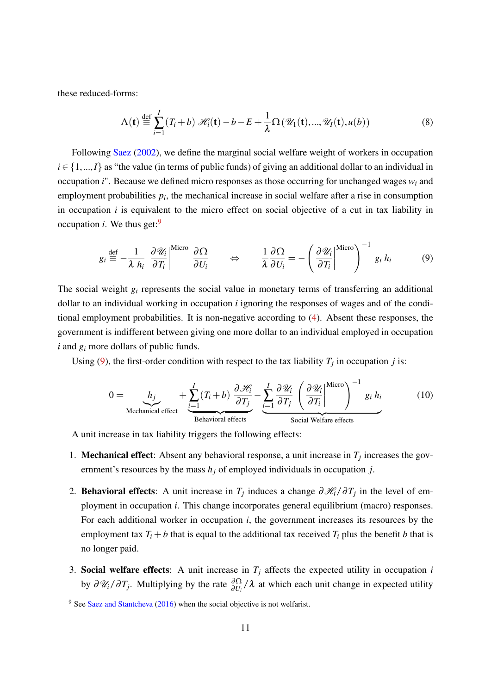these reduced-forms:

$$
\Lambda(\mathbf{t}) \stackrel{\text{def}}{=} \sum_{i=1}^{I} (T_i + b) \mathcal{H}_i(\mathbf{t}) - b - E + \frac{1}{\lambda} \Omega(\mathcal{U}_1(\mathbf{t}), ..., \mathcal{U}_I(\mathbf{t}), u(b))
$$
(8)

Following Saez (2002), we define the marginal social welfare weight of workers in occupation  $i \in \{1,...,I\}$  as "the value (in terms of public funds) of giving an additional dollar to an individual in occupation *i*". Because we defined micro responses as those occurring for unchanged wages *w<sup>i</sup>* and employment probabilities *p<sup>i</sup>* , the mechanical increase in social welfare after a rise in consumption in occupation *i* is equivalent to the micro effect on social objective of a cut in tax liability in occupation  $i$ . We thus get:<sup>9</sup>

$$
g_i \stackrel{\text{def}}{=} -\frac{1}{\lambda h_i} \left. \frac{\partial \mathcal{U}_i}{\partial T_i} \right|^{Micro} \frac{\partial \Omega}{\partial U_i} \qquad \Leftrightarrow \qquad \frac{1}{\lambda} \frac{\partial \Omega}{\partial U_i} = -\left( \frac{\partial \mathcal{U}_i}{\partial T_i} \right|^{Micro} \right)^{-1} g_i h_i \tag{9}
$$

The social weight *g<sup>i</sup>* represents the social value in monetary terms of transferring an additional dollar to an individual working in occupation *i* ignoring the responses of wages and of the conditional employment probabilities. It is non-negative according to (4). Absent these responses, the government is indifferent between giving one more dollar to an individual employed in occupation *i* and *g<sup>i</sup>* more dollars of public funds.

Using (9), the first-order condition with respect to the tax liability  $T_j$  in occupation *j* is:

$$
0 = \underbrace{h_j}_{\text{Mechanical effect}} + \underbrace{\sum_{i=1}^{I} (T_i + b)}_{\text{Behavioral effects}} \underbrace{\frac{\partial \mathcal{H}_i}{\partial T_j} - \underbrace{\sum_{i=1}^{I} \frac{\partial \mathcal{U}_i}{\partial T_j} \left(\frac{\partial \mathcal{U}_i}{\partial T_i}\right)^{\text{Micro}}}_{\text{Social Welfare effects}}\right)^{-1} g_i h_i}_{\text{Relaviolet effects}}
$$
(10)

A unit increase in tax liability triggers the following effects:

- 1. **Mechanical effect**: Absent any behavioral response, a unit increase in  $T_j$  increases the government's resources by the mass *h<sup>j</sup>* of employed individuals in occupation *j*.
- 2. **Behavioral effects**: A unit increase in  $T_j$  induces a change  $\partial \mathcal{H}_i / \partial T_j$  in the level of employment in occupation *i*. This change incorporates general equilibrium (macro) responses. For each additional worker in occupation *i*, the government increases its resources by the employment tax  $T_i + b$  that is equal to the additional tax received  $T_i$  plus the benefit *b* that is no longer paid.
- 3. Social welfare effects: A unit increase in  $T_j$  affects the expected utility in occupation  $i$ by  $\partial \mathcal{U}_i/\partial T_j$ . Multiplying by the rate  $\frac{\partial \Omega}{\partial U_i}/\lambda$  at which each unit change in expected utility

<sup>&</sup>lt;sup>9</sup> See Saez and Stantcheva (2016) when the social objective is not welfarist.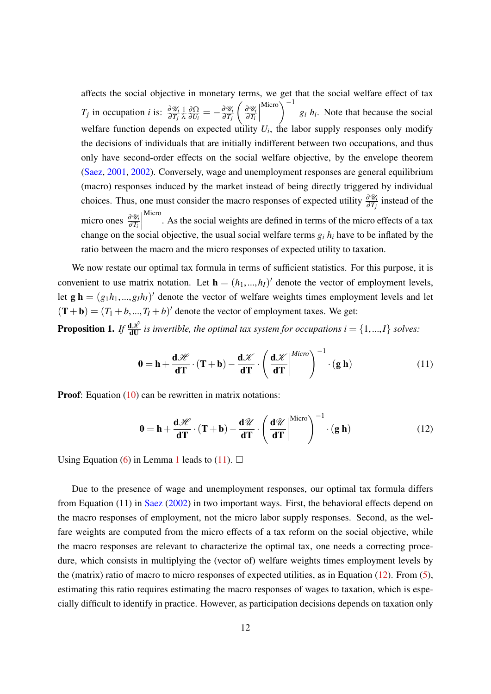affects the social objective in monetary terms, we get that the social welfare effect of tax *T<sub>j</sub>* in occupation *i* is:  $\frac{\partial \mathcal{U}_i}{\partial T_j}$ 1 λ <u>∂Ω</u>  $\frac{\partial \Omega}{\partial U_i} = -\frac{\partial \mathscr{U}_i}{\partial T_j}$ ∂*T<sup>j</sup>* ∂U*<sup>i</sup>* ∂*T<sup>i</sup>* Micro $\setminus$ <sup>-1</sup>  $g_i$   $h_i$ . Note that because the social welfare function depends on expected utility  $U_i$ , the labor supply responses only modify the decisions of individuals that are initially indifferent between two occupations, and thus only have second-order effects on the social welfare objective, by the envelope theorem (Saez, 2001, 2002). Conversely, wage and unemployment responses are general equilibrium (macro) responses induced by the market instead of being directly triggered by individual choices. Thus, one must consider the macro responses of expected utility  $\frac{\partial \mathcal{U}_i}{\partial T_j}$  instead of the micro ones  $\frac{\partial \mathcal{U}_i}{\partial T_i}$  Micro . As the social weights are defined in terms of the micro effects of a tax change on the social objective, the usual social welfare terms  $g_i h_i$  have to be inflated by the ratio between the macro and the micro responses of expected utility to taxation.

We now restate our optimal tax formula in terms of sufficient statistics. For this purpose, it is convenient to use matrix notation. Let  $\mathbf{h} = (h_1, ..., h_I)$  denote the vector of employment levels, let  $g h = (g_1 h_1, ..., g_I h_I)'$  denote the vector of welfare weights times employment levels and let  $(T + b) = (T_1 + b, ..., T_I + b)'$  denote the vector of employment taxes. We get:

**Proposition 1.** If  $\frac{d\hat{\mathcal{X}}}{dU}$  is invertible, the optimal tax system for occupations  $i = \{1,...,I\}$  solves:

$$
\mathbf{0} = \mathbf{h} + \frac{\mathbf{d} \mathcal{H}}{\mathbf{d} \mathbf{T}} \cdot (\mathbf{T} + \mathbf{b}) - \frac{\mathbf{d} \mathcal{K}}{\mathbf{d} \mathbf{T}} \cdot \left(\frac{\mathbf{d} \mathcal{K}}{\mathbf{d} \mathbf{T}}\right)^{Micro} \right)^{-1} \cdot (\mathbf{g} \mathbf{h}) \tag{11}
$$

**Proof:** Equation (10) can be rewritten in matrix notations:

$$
\mathbf{0} = \mathbf{h} + \frac{\mathbf{d} \mathcal{H}}{\mathbf{d} \mathbf{T}} \cdot (\mathbf{T} + \mathbf{b}) - \frac{\mathbf{d} \mathcal{U}}{\mathbf{d} \mathbf{T}} \cdot \left(\frac{\mathbf{d} \mathcal{U}}{\mathbf{d} \mathbf{T}}\middle|^{Micro}\right)^{-1} \cdot (\mathbf{g} \mathbf{h}) \tag{12}
$$

Using Equation (6) in Lemma 1 leads to (11).  $\Box$ 

Due to the presence of wage and unemployment responses, our optimal tax formula differs from Equation (11) in Saez (2002) in two important ways. First, the behavioral effects depend on the macro responses of employment, not the micro labor supply responses. Second, as the welfare weights are computed from the micro effects of a tax reform on the social objective, while the macro responses are relevant to characterize the optimal tax, one needs a correcting procedure, which consists in multiplying the (vector of) welfare weights times employment levels by the (matrix) ratio of macro to micro responses of expected utilities, as in Equation (12). From (5), estimating this ratio requires estimating the macro responses of wages to taxation, which is especially difficult to identify in practice. However, as participation decisions depends on taxation only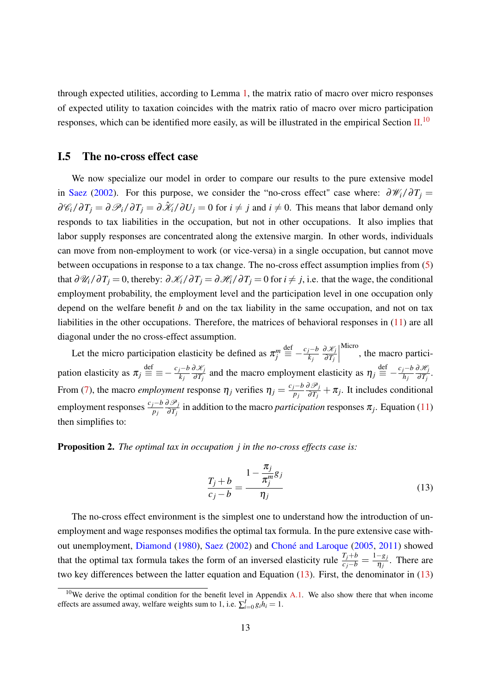through expected utilities, according to Lemma 1, the matrix ratio of macro over micro responses of expected utility to taxation coincides with the matrix ratio of macro over micro participation responses, which can be identified more easily, as will be illustrated in the empirical Section  $II$ .<sup>10</sup>

#### I.5 The no-cross effect case

We now specialize our model in order to compare our results to the pure extensive model in Saez (2002). For this purpose, we consider the "no-cross effect" case where:  $\partial \mathcal{W}_i / \partial T_i =$  $\partial\mathscr{C}_i/\partial T_j = \partial\mathscr{P}_i/\partial T_j = \partial\mathscr{K}_i/\partial U_j = 0$  for  $i \neq j$  and  $i \neq 0$ . This means that labor demand only responds to tax liabilities in the occupation, but not in other occupations. It also implies that labor supply responses are concentrated along the extensive margin. In other words, individuals can move from non-employment to work (or vice-versa) in a single occupation, but cannot move between occupations in response to a tax change. The no-cross effect assumption implies from (5) that  $\frac{\partial \mathscr{U}_i}{\partial T_j} = 0$ , thereby:  $\frac{\partial \mathscr{K}_i}{\partial T_j} = \frac{\partial \mathscr{K}_i}{\partial T_j} = 0$  for  $i \neq j$ , i.e. that the wage, the conditional employment probability, the employment level and the participation level in one occupation only depend on the welfare benefit *b* and on the tax liability in the same occupation, and not on tax liabilities in the other occupations. Therefore, the matrices of behavioral responses in (11) are all diagonal under the no cross-effect assumption.

Let the micro participation elasticity be defined as  $\pi_j^m$ def  $\stackrel{\text{def}}{=} -\frac{c_j - b}{k_j}$ *k j* ∂K*<sup>j</sup>* ∂*T<sup>j</sup>* Micro , the macro participation elasticity as  $\pi_j \stackrel{\text{def}}{=}$  $\stackrel{\text{def}}{\equiv} \equiv -\frac{c_j - b}{k_i}$ *k j* ∂K*<sup>j</sup>*  $\frac{\partial \mathcal{X}_j}{\partial T_j}$  and the macro employment elasticity as  $\eta_j \stackrel{\text{def}}{=}$  $\stackrel{\text{def}}{=} -\frac{c_j - b}{h_j}$ *hj* ∂H*<sup>j</sup>*  $\frac{\partial x_j}{\partial T_j}$ . From (7), the macro *employment* response  $\eta_j$  verifies  $\eta_j = \frac{c_j - b_j}{p_j}$ *pj* ∂P*<sup>j</sup>*  $\frac{\partial \mathcal{S}_j}{\partial T_j} + \pi_j$ . It includes conditional employment responses  $\frac{c_j - b}{p_j}$ ∂P*<sup>j</sup>*  $\frac{\partial \mathcal{S}_j}{\partial T_j}$  in addition to the macro *participation* responses  $\pi_j$ . Equation (11) then simplifies to:

#### Proposition 2. *The optimal tax in occupation j in the no-cross effects case is:*

$$
\frac{T_j + b}{c_j - b} = \frac{1 - \frac{\pi_j}{\pi_j^m} g_j}{\eta_j} \tag{13}
$$

The no-cross effect environment is the simplest one to understand how the introduction of unemployment and wage responses modifies the optimal tax formula. In the pure extensive case without unemployment, Diamond (1980), Saez (2002) and Choné and Laroque (2005, 2011) showed that the optimal tax formula takes the form of an inversed elasticity rule  $\frac{T_j + b}{c_j - b} = \frac{1 - g_j}{\eta_j}$  $\frac{-g_j}{\eta_j}$ . There are two key differences between the latter equation and Equation (13). First, the denominator in (13)

<sup>&</sup>lt;sup>10</sup>We derive the optimal condition for the benefit level in Appendix A.1. We also show there that when income effects are assumed away, welfare weights sum to 1, i.e.  $\sum_{i=0}^{I} g_i h_i = 1$ .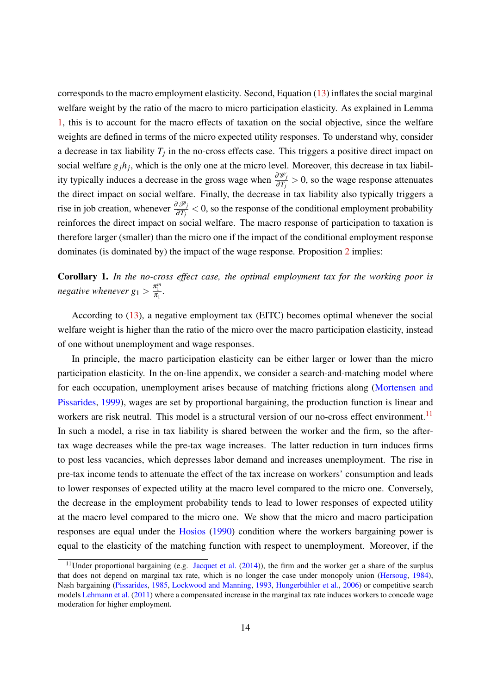corresponds to the macro employment elasticity. Second, Equation (13) inflates the social marginal welfare weight by the ratio of the macro to micro participation elasticity. As explained in Lemma 1, this is to account for the macro effects of taxation on the social objective, since the welfare weights are defined in terms of the micro expected utility responses. To understand why, consider a decrease in tax liability  $T_j$  in the no-cross effects case. This triggers a positive direct impact on social welfare  $g_j h_j$ , which is the only one at the micro level. Moreover, this decrease in tax liability typically induces a decrease in the gross wage when  $\frac{\partial \mathscr{W}_j}{\partial T_j} > 0$ , so the wage response attenuates the direct impact on social welfare. Finally, the decrease in tax liability also typically triggers a rise in job creation, whenever  $\frac{\partial \mathcal{P}_j}{\partial T_j}$  < 0, so the response of the conditional employment probability reinforces the direct impact on social welfare. The macro response of participation to taxation is therefore larger (smaller) than the micro one if the impact of the conditional employment response dominates (is dominated by) the impact of the wage response. Proposition 2 implies:

Corollary 1. *In the no-cross effect case, the optimal employment tax for the working poor is negative whenever*  $g_1 > \frac{\pi_1^m}{\pi_1}$ .

According to (13), a negative employment tax (EITC) becomes optimal whenever the social welfare weight is higher than the ratio of the micro over the macro participation elasticity, instead of one without unemployment and wage responses.

In principle, the macro participation elasticity can be either larger or lower than the micro participation elasticity. In the on-line appendix, we consider a search-and-matching model where for each occupation, unemployment arises because of matching frictions along (Mortensen and Pissarides, 1999), wages are set by proportional bargaining, the production function is linear and workers are risk neutral. This model is a structural version of our no-cross effect environment.<sup>11</sup> In such a model, a rise in tax liability is shared between the worker and the firm, so the aftertax wage decreases while the pre-tax wage increases. The latter reduction in turn induces firms to post less vacancies, which depresses labor demand and increases unemployment. The rise in pre-tax income tends to attenuate the effect of the tax increase on workers' consumption and leads to lower responses of expected utility at the macro level compared to the micro one. Conversely, the decrease in the employment probability tends to lead to lower responses of expected utility at the macro level compared to the micro one. We show that the micro and macro participation responses are equal under the Hosios (1990) condition where the workers bargaining power is equal to the elasticity of the matching function with respect to unemployment. Moreover, if the

<sup>&</sup>lt;sup>11</sup>Under proportional bargaining (e.g. Jacquet et al.  $(2014)$ ), the firm and the worker get a share of the surplus that does not depend on marginal tax rate, which is no longer the case under monopoly union (Hersoug, 1984), Nash bargaining (Pissarides, 1985, Lockwood and Manning, 1993, Hungerbühler et al., 2006) or competitive search models Lehmann et al. (2011) where a compensated increase in the marginal tax rate induces workers to concede wage moderation for higher employment.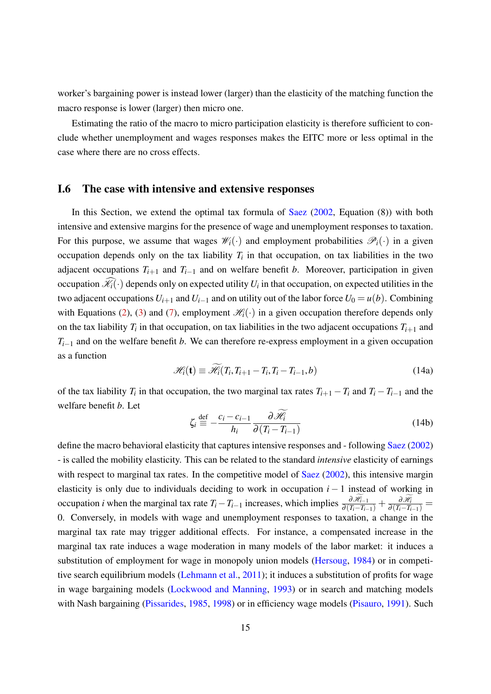worker's bargaining power is instead lower (larger) than the elasticity of the matching function the macro response is lower (larger) then micro one.

Estimating the ratio of the macro to micro participation elasticity is therefore sufficient to conclude whether unemployment and wages responses makes the EITC more or less optimal in the case where there are no cross effects.

#### I.6 The case with intensive and extensive responses

In this Section, we extend the optimal tax formula of Saez  $(2002,$  Equation  $(8)$ ) with both intensive and extensive margins for the presence of wage and unemployment responses to taxation. For this purpose, we assume that wages  $\mathcal{W}_i(\cdot)$  and employment probabilities  $\mathcal{P}_i(\cdot)$  in a given occupation depends only on the tax liability  $T_i$  in that occupation, on tax liabilities in the two adjacent occupations  $T_{i+1}$  and  $T_{i-1}$  and on welfare benefit *b*. Moreover, participation in given occupation  $\mathcal{K}_i(\cdot)$  depends only on expected utility  $U_i$  in that occupation, on expected utilities in the two adjacent occupations  $U_{i+1}$  and  $U_{i-1}$  and on utility out of the labor force  $U_0 = u(b)$ . Combining with Equations (2), (3) and (7), employment  $\mathcal{H}_i(\cdot)$  in a given occupation therefore depends only on the tax liability  $T_i$  in that occupation, on tax liabilities in the two adjacent occupations  $T_{i+1}$  and *T*<sub>*i*−1</sub> and on the welfare benefit *b*. We can therefore re-express employment in a given occupation as a function

$$
\mathcal{H}_i(\mathbf{t}) \equiv \widetilde{\mathcal{H}}_i(T_i, T_{i+1} - T_i, T_i - T_{i-1}, b) \tag{14a}
$$

of the tax liability  $T_i$  in that occupation, the two marginal tax rates  $T_{i+1} - T_i$  and  $T_i - T_{i-1}$  and the welfare benefit *b*. Let

$$
\zeta_i \stackrel{\text{def}}{=} -\frac{c_i - c_{i-1}}{h_i} \frac{\partial \mathcal{H}_i}{\partial (T_i - T_{i-1})} \tag{14b}
$$

define the macro behavioral elasticity that captures intensive responses and - following Saez (2002) - is called the mobility elasticity. This can be related to the standard *intensive* elasticity of earnings with respect to marginal tax rates. In the competitive model of Saez (2002), this intensive margin elasticity is only due to individuals deciding to work in occupation *i* − 1 instead of working in occupation *i* when the marginal tax rate  $T_i - T_{i-1}$  increases, which implies  $\frac{\partial \mathcal{H}_{i-1}}{\partial (T_i - T_{i-1})} + \frac{\partial \mathcal{H}_{i}}{\partial (T_i - T_{i-1})} =$ 0. Conversely, in models with wage and unemployment responses to taxation, a change in the marginal tax rate may trigger additional effects. For instance, a compensated increase in the marginal tax rate induces a wage moderation in many models of the labor market: it induces a substitution of employment for wage in monopoly union models (Hersoug, 1984) or in competitive search equilibrium models (Lehmann et al., 2011); it induces a substitution of profits for wage in wage bargaining models (Lockwood and Manning, 1993) or in search and matching models with Nash bargaining (Pissarides, 1985, 1998) or in efficiency wage models (Pisauro, 1991). Such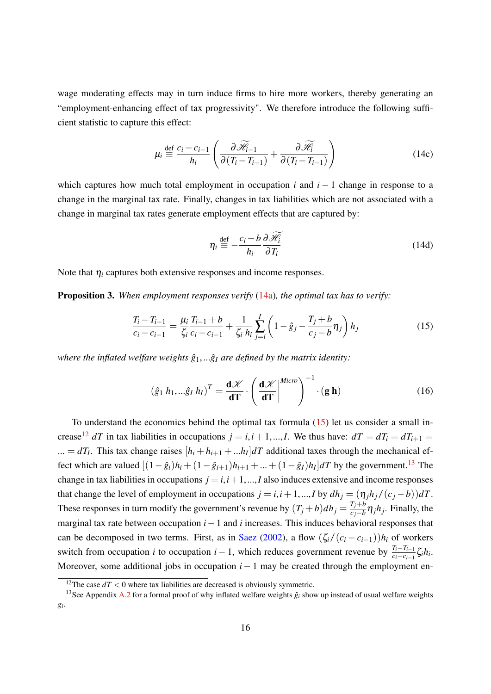wage moderating effects may in turn induce firms to hire more workers, thereby generating an "employment-enhancing effect of tax progressivity". We therefore introduce the following sufficient statistic to capture this effect:

$$
\mu_i \stackrel{\text{def}}{=} \frac{c_i - c_{i-1}}{h_i} \left( \frac{\partial \widetilde{\mathcal{H}}_{i-1}}{\partial (T_i - T_{i-1})} + \frac{\partial \widetilde{\mathcal{H}}_i}{\partial (T_i - T_{i-1})} \right) \tag{14c}
$$

which captures how much total employment in occupation *i* and *i* − 1 change in response to a change in the marginal tax rate. Finally, changes in tax liabilities which are not associated with a change in marginal tax rates generate employment effects that are captured by:

$$
\eta_i \stackrel{\text{def}}{=} -\frac{c_i - b}{h_i} \frac{\partial \mathcal{H}_i}{\partial T_i} \tag{14d}
$$

Note that  $\eta_i$  captures both extensive responses and income responses.

Proposition 3. *When employment responses verify* (14a)*, the optimal tax has to verify:*

$$
\frac{T_i - T_{i-1}}{c_i - c_{i-1}} = \frac{\mu_i}{\zeta_i} \frac{T_{i-1} + b}{c_i - c_{i-1}} + \frac{1}{\zeta_i} \sum_{j=i}^{I} \left( 1 - \hat{g}_j - \frac{T_j + b}{c_j - b} \eta_j \right) h_j \tag{15}
$$

*where the inflated welfare weights*  $\hat{g}_1$ , ..., $\hat{g}_I$  *are defined by the matrix identity:* 

$$
\left(\hat{g}_1 \ h_1, \dots \hat{g}_I \ h_I\right)^T = \frac{\mathbf{d} \mathcal{K}}{\mathbf{d} \mathbf{T}} \cdot \left(\frac{\mathbf{d} \mathcal{K}}{\mathbf{d} \mathbf{T}}\middle|^{Micro}\right)^{-1} \cdot (\mathbf{g} \ \mathbf{h})\tag{16}
$$

To understand the economics behind the optimal tax formula (15) let us consider a small increase<sup>12</sup> *dT* in tax liabilities in occupations  $j = i, i + 1, ..., I$ . We thus have:  $dT = dT_i = dT_{i+1}$ ... =  $dT_I$ . This tax change raises  $[h_i + h_{i+1} + ...h_I]dT$  additional taxes through the mechanical effect which are valued  $[(1-\hat{g}_i)h_i + (1-\hat{g}_{i+1})h_{i+1} + ... + (1-\hat{g}_I)h_I]dT$  by the government.<sup>13</sup> The change in tax liabilities in occupations  $j = i, i + 1, \dots, I$  also induces extensive and income responses that change the level of employment in occupations  $j = i, i + 1, ..., I$  by  $dh_j = (\eta_j h_j / (c_j - b)) dT$ . These responses in turn modify the government's revenue by  $(T_j + b)dh_j = \frac{T_j + b}{c_j - b}$  $\frac{r_j + b}{r_j - b} \eta_j h_j$ . Finally, the marginal tax rate between occupation *i*−1 and *i* increases. This induces behavioral responses that can be decomposed in two terms. First, as in Saez (2002), a flow  $(\zeta_i/(c_i-c_{i-1}))h_i$  of workers switch from occupation *i* to occupation *i* − 1, which reduces government revenue by  $\frac{T_i - T_{i-1}}{c_i - c_{i-1}} \zeta_i h_i$ . Moreover, some additional jobs in occupation  $i - 1$  may be created through the employment en-

<sup>&</sup>lt;sup>12</sup>The case  $dT < 0$  where tax liabilities are decreased is obviously symmetric.

<sup>&</sup>lt;sup>13</sup>See Appendix A.2 for a formal proof of why inflated welfare weights  $\hat{g}_i$  show up instead of usual welfare weights *gi* .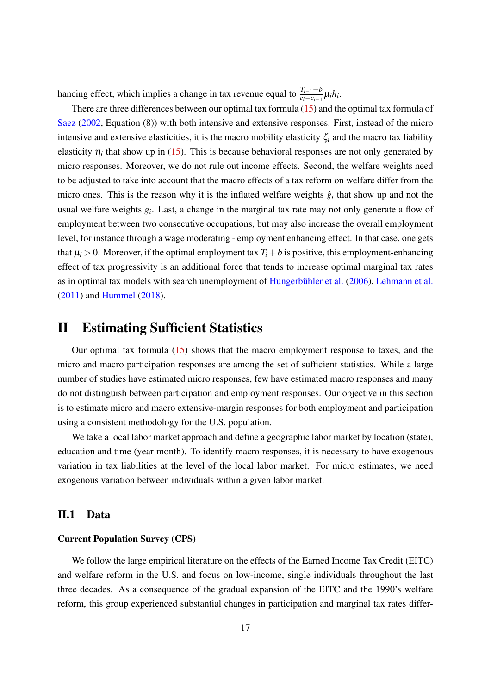hancing effect, which implies a change in tax revenue equal to  $\frac{T_{i-1}+b}{c_i-c_{i-1}}\mu_i h_i$ .

There are three differences between our optimal tax formula (15) and the optimal tax formula of Saez (2002, Equation (8)) with both intensive and extensive responses. First, instead of the micro intensive and extensive elasticities, it is the macro mobility elasticity ζ*<sup>i</sup>* and the macro tax liability elasticity  $\eta_i$  that show up in (15). This is because behavioral responses are not only generated by micro responses. Moreover, we do not rule out income effects. Second, the welfare weights need to be adjusted to take into account that the macro effects of a tax reform on welfare differ from the micro ones. This is the reason why it is the inflated welfare weights  $\hat{g}_i$  that show up and not the usual welfare weights *g<sup>i</sup>* . Last, a change in the marginal tax rate may not only generate a flow of employment between two consecutive occupations, but may also increase the overall employment level, for instance through a wage moderating - employment enhancing effect. In that case, one gets that  $\mu_i > 0$ . Moreover, if the optimal employment tax  $T_i + b$  is positive, this employment-enhancing effect of tax progressivity is an additional force that tends to increase optimal marginal tax rates as in optimal tax models with search unemployment of Hungerbühler et al. (2006), Lehmann et al. (2011) and Hummel (2018).

### II Estimating Sufficient Statistics

Our optimal tax formula (15) shows that the macro employment response to taxes, and the micro and macro participation responses are among the set of sufficient statistics. While a large number of studies have estimated micro responses, few have estimated macro responses and many do not distinguish between participation and employment responses. Our objective in this section is to estimate micro and macro extensive-margin responses for both employment and participation using a consistent methodology for the U.S. population.

We take a local labor market approach and define a geographic labor market by location (state), education and time (year-month). To identify macro responses, it is necessary to have exogenous variation in tax liabilities at the level of the local labor market. For micro estimates, we need exogenous variation between individuals within a given labor market.

### II.1 Data

#### Current Population Survey (CPS)

We follow the large empirical literature on the effects of the Earned Income Tax Credit (EITC) and welfare reform in the U.S. and focus on low-income, single individuals throughout the last three decades. As a consequence of the gradual expansion of the EITC and the 1990's welfare reform, this group experienced substantial changes in participation and marginal tax rates differ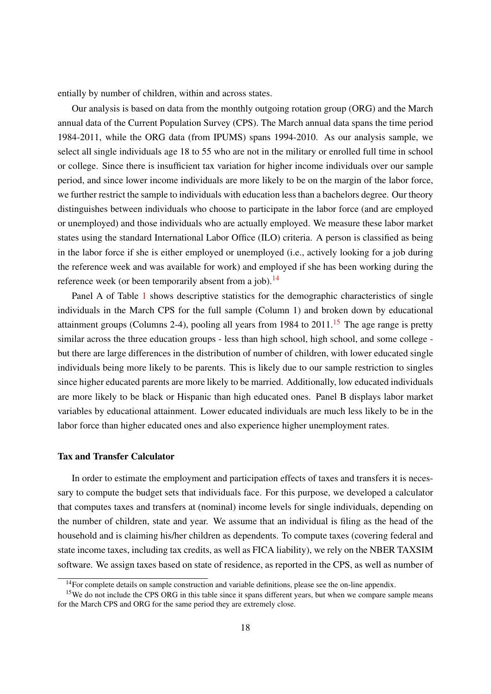entially by number of children, within and across states.

Our analysis is based on data from the monthly outgoing rotation group (ORG) and the March annual data of the Current Population Survey (CPS). The March annual data spans the time period 1984-2011, while the ORG data (from IPUMS) spans 1994-2010. As our analysis sample, we select all single individuals age 18 to 55 who are not in the military or enrolled full time in school or college. Since there is insufficient tax variation for higher income individuals over our sample period, and since lower income individuals are more likely to be on the margin of the labor force, we further restrict the sample to individuals with education less than a bachelors degree. Our theory distinguishes between individuals who choose to participate in the labor force (and are employed or unemployed) and those individuals who are actually employed. We measure these labor market states using the standard International Labor Office (ILO) criteria. A person is classified as being in the labor force if she is either employed or unemployed (i.e., actively looking for a job during the reference week and was available for work) and employed if she has been working during the reference week (or been temporarily absent from a job).<sup>14</sup>

Panel A of Table 1 shows descriptive statistics for the demographic characteristics of single individuals in the March CPS for the full sample (Column 1) and broken down by educational attainment groups (Columns 2-4), pooling all years from 1984 to  $2011$ .<sup>15</sup> The age range is pretty similar across the three education groups - less than high school, high school, and some college but there are large differences in the distribution of number of children, with lower educated single individuals being more likely to be parents. This is likely due to our sample restriction to singles since higher educated parents are more likely to be married. Additionally, low educated individuals are more likely to be black or Hispanic than high educated ones. Panel B displays labor market variables by educational attainment. Lower educated individuals are much less likely to be in the labor force than higher educated ones and also experience higher unemployment rates.

#### Tax and Transfer Calculator

In order to estimate the employment and participation effects of taxes and transfers it is necessary to compute the budget sets that individuals face. For this purpose, we developed a calculator that computes taxes and transfers at (nominal) income levels for single individuals, depending on the number of children, state and year. We assume that an individual is filing as the head of the household and is claiming his/her children as dependents. To compute taxes (covering federal and state income taxes, including tax credits, as well as FICA liability), we rely on the NBER TAXSIM software. We assign taxes based on state of residence, as reported in the CPS, as well as number of

<sup>&</sup>lt;sup>14</sup>For complete details on sample construction and variable definitions, please see the on-line appendix.

<sup>&</sup>lt;sup>15</sup>We do not include the CPS ORG in this table since it spans different years, but when we compare sample means for the March CPS and ORG for the same period they are extremely close.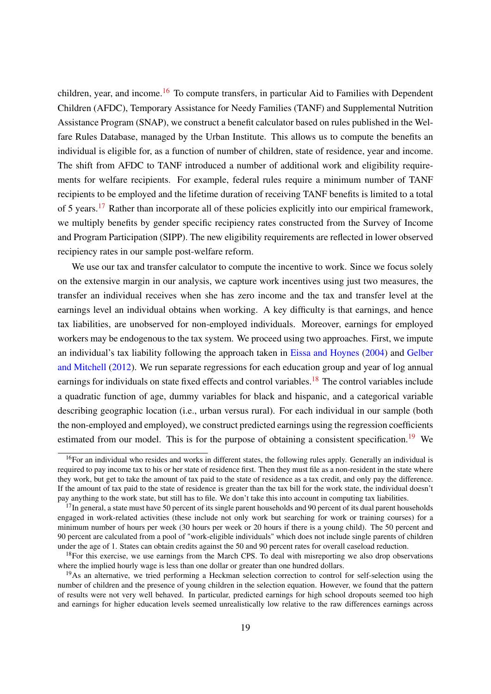children, year, and income.<sup>16</sup> To compute transfers, in particular Aid to Families with Dependent Children (AFDC), Temporary Assistance for Needy Families (TANF) and Supplemental Nutrition Assistance Program (SNAP), we construct a benefit calculator based on rules published in the Welfare Rules Database, managed by the Urban Institute. This allows us to compute the benefits an individual is eligible for, as a function of number of children, state of residence, year and income. The shift from AFDC to TANF introduced a number of additional work and eligibility requirements for welfare recipients. For example, federal rules require a minimum number of TANF recipients to be employed and the lifetime duration of receiving TANF benefits is limited to a total of 5 years.<sup>17</sup> Rather than incorporate all of these policies explicitly into our empirical framework, we multiply benefits by gender specific recipiency rates constructed from the Survey of Income and Program Participation (SIPP). The new eligibility requirements are reflected in lower observed recipiency rates in our sample post-welfare reform.

We use our tax and transfer calculator to compute the incentive to work. Since we focus solely on the extensive margin in our analysis, we capture work incentives using just two measures, the transfer an individual receives when she has zero income and the tax and transfer level at the earnings level an individual obtains when working. A key difficulty is that earnings, and hence tax liabilities, are unobserved for non-employed individuals. Moreover, earnings for employed workers may be endogenous to the tax system. We proceed using two approaches. First, we impute an individual's tax liability following the approach taken in Eissa and Hoynes (2004) and Gelber and Mitchell (2012). We run separate regressions for each education group and year of log annual earnings for individuals on state fixed effects and control variables.<sup>18</sup> The control variables include a quadratic function of age, dummy variables for black and hispanic, and a categorical variable describing geographic location (i.e., urban versus rural). For each individual in our sample (both the non-employed and employed), we construct predicted earnings using the regression coefficients estimated from our model. This is for the purpose of obtaining a consistent specification.<sup>19</sup> We

 $16$  For an individual who resides and works in different states, the following rules apply. Generally an individual is required to pay income tax to his or her state of residence first. Then they must file as a non-resident in the state where they work, but get to take the amount of tax paid to the state of residence as a tax credit, and only pay the difference. If the amount of tax paid to the state of residence is greater than the tax bill for the work state, the individual doesn't pay anything to the work state, but still has to file. We don't take this into account in computing tax liabilities.

 $17$ In general, a state must have 50 percent of its single parent households and 90 percent of its dual parent households engaged in work-related activities (these include not only work but searching for work or training courses) for a minimum number of hours per week (30 hours per week or 20 hours if there is a young child). The 50 percent and 90 percent are calculated from a pool of "work-eligible individuals" which does not include single parents of children under the age of 1. States can obtain credits against the 50 and 90 percent rates for overall caseload reduction.

<sup>&</sup>lt;sup>18</sup>For this exercise, we use earnings from the March CPS. To deal with misreporting we also drop observations where the implied hourly wage is less than one dollar or greater than one hundred dollars.

<sup>&</sup>lt;sup>19</sup>As an alternative, we tried performing a Heckman selection correction to control for self-selection using the number of children and the presence of young children in the selection equation. However, we found that the pattern of results were not very well behaved. In particular, predicted earnings for high school dropouts seemed too high and earnings for higher education levels seemed unrealistically low relative to the raw differences earnings across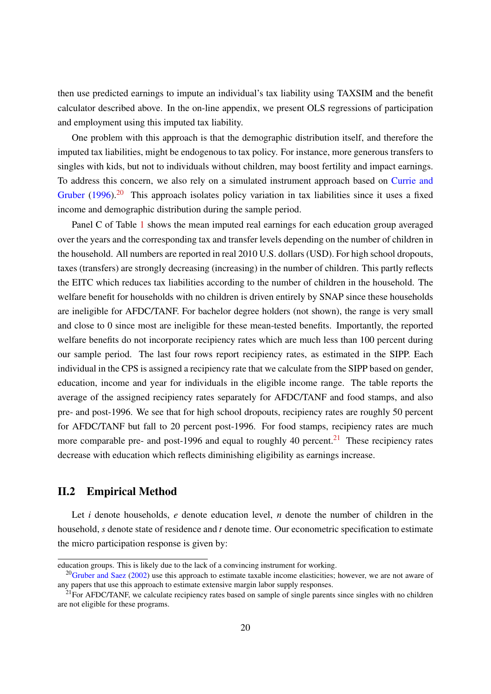then use predicted earnings to impute an individual's tax liability using TAXSIM and the benefit calculator described above. In the on-line appendix, we present OLS regressions of participation and employment using this imputed tax liability.

One problem with this approach is that the demographic distribution itself, and therefore the imputed tax liabilities, might be endogenous to tax policy. For instance, more generous transfers to singles with kids, but not to individuals without children, may boost fertility and impact earnings. To address this concern, we also rely on a simulated instrument approach based on Currie and Gruber (1996).<sup>20</sup> This approach isolates policy variation in tax liabilities since it uses a fixed income and demographic distribution during the sample period.

Panel C of Table 1 shows the mean imputed real earnings for each education group averaged over the years and the corresponding tax and transfer levels depending on the number of children in the household. All numbers are reported in real 2010 U.S. dollars (USD). For high school dropouts, taxes (transfers) are strongly decreasing (increasing) in the number of children. This partly reflects the EITC which reduces tax liabilities according to the number of children in the household. The welfare benefit for households with no children is driven entirely by SNAP since these households are ineligible for AFDC/TANF. For bachelor degree holders (not shown), the range is very small and close to 0 since most are ineligible for these mean-tested benefits. Importantly, the reported welfare benefits do not incorporate recipiency rates which are much less than 100 percent during our sample period. The last four rows report recipiency rates, as estimated in the SIPP. Each individual in the CPS is assigned a recipiency rate that we calculate from the SIPP based on gender, education, income and year for individuals in the eligible income range. The table reports the average of the assigned recipiency rates separately for AFDC/TANF and food stamps, and also pre- and post-1996. We see that for high school dropouts, recipiency rates are roughly 50 percent for AFDC/TANF but fall to 20 percent post-1996. For food stamps, recipiency rates are much more comparable pre- and post-1996 and equal to roughly 40 percent. $21$  These recipiency rates decrease with education which reflects diminishing eligibility as earnings increase.

#### II.2 Empirical Method

Let *i* denote households, *e* denote education level, *n* denote the number of children in the household, *s* denote state of residence and *t* denote time. Our econometric specification to estimate the micro participation response is given by:

education groups. This is likely due to the lack of a convincing instrument for working.

 $20$ Gruber and Saez (2002) use this approach to estimate taxable income elasticities; however, we are not aware of any papers that use this approach to estimate extensive margin labor supply responses.

 $21$  For AFDC/TANF, we calculate recipiency rates based on sample of single parents since singles with no children are not eligible for these programs.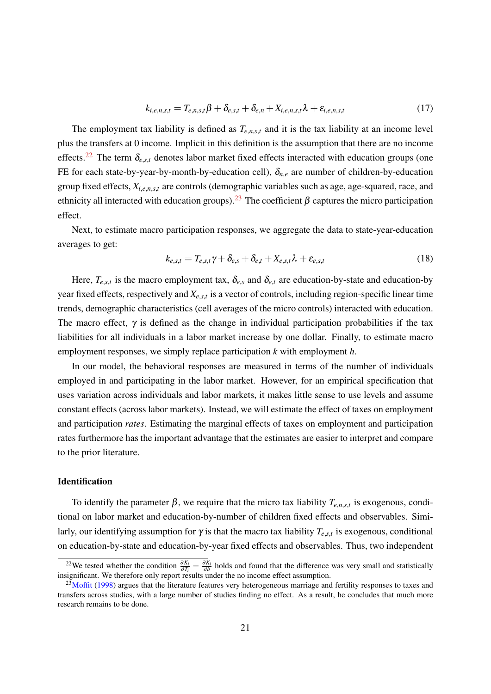$$
k_{i,e,n,s,t} = T_{e,n,s,t}\beta + \delta_{e,s,t} + \delta_{e,n} + X_{i,e,n,s,t}\lambda + \varepsilon_{i,e,n,s,t}
$$
(17)

The employment tax liability is defined as  $T_{e,n,s,t}$  and it is the tax liability at an income level plus the transfers at 0 income. Implicit in this definition is the assumption that there are no income effects.<sup>22</sup> The term  $\delta_{e,s,t}$  denotes labor market fixed effects interacted with education groups (one FE for each state-by-year-by-month-by-education cell),  $\delta_{n,e}$  are number of children-by-education group fixed effects, *Xi*,*e*,*n*,*s*,*<sup>t</sup>* are controls (demographic variables such as age, age-squared, race, and ethnicity all interacted with education groups).<sup>23</sup> The coefficient  $\beta$  captures the micro participation effect.

Next, to estimate macro participation responses, we aggregate the data to state-year-education averages to get:

$$
k_{e,s,t} = T_{e,s,t}\gamma + \delta_{e,s} + \delta_{e,t} + X_{e,s,t}\lambda + \varepsilon_{e,s,t}
$$
\n(18)

Here,  $T_{e,s,t}$  is the macro employment tax,  $\delta_{e,s}$  and  $\delta_{e,t}$  are education-by-state and education-by year fixed effects, respectively and *Xe*,*s*,*<sup>t</sup>* is a vector of controls, including region-specific linear time trends, demographic characteristics (cell averages of the micro controls) interacted with education. The macro effect,  $\gamma$  is defined as the change in individual participation probabilities if the tax liabilities for all individuals in a labor market increase by one dollar. Finally, to estimate macro employment responses, we simply replace participation *k* with employment *h*.

In our model, the behavioral responses are measured in terms of the number of individuals employed in and participating in the labor market. However, for an empirical specification that uses variation across individuals and labor markets, it makes little sense to use levels and assume constant effects (across labor markets). Instead, we will estimate the effect of taxes on employment and participation *rates*. Estimating the marginal effects of taxes on employment and participation rates furthermore has the important advantage that the estimates are easier to interpret and compare to the prior literature.

#### **Identification**

To identify the parameter  $\beta$ , we require that the micro tax liability  $T_{e,n,s,t}$  is exogenous, conditional on labor market and education-by-number of children fixed effects and observables. Similarly, our identifying assumption for  $\gamma$  is that the macro tax liability  $T_{e,s,t}$  is exogenous, conditional on education-by-state and education-by-year fixed effects and observables. Thus, two independent

<sup>&</sup>lt;sup>22</sup>We tested whether the condition  $\frac{\partial K_i}{\partial T_i} = \frac{\partial K_i}{\partial b}$  holds and found that the difference was very small and statistically insignificant. We therefore only report results under the no income effect assumption.

 $23$ Moffit (1998) argues that the literature features very heterogeneous marriage and fertility responses to taxes and transfers across studies, with a large number of studies finding no effect. As a result, he concludes that much more research remains to be done.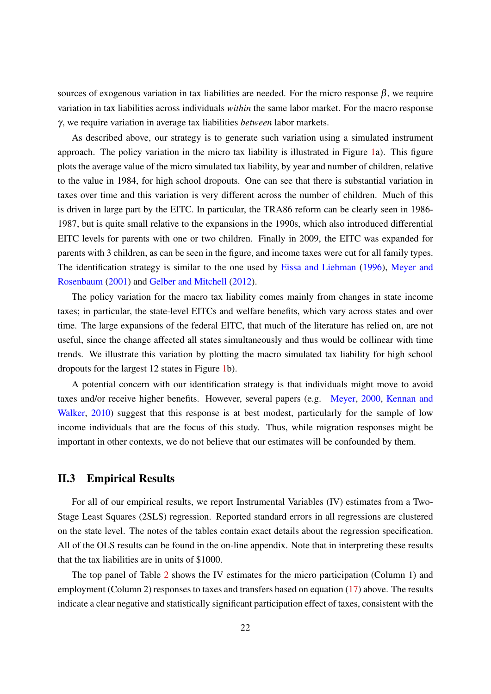sources of exogenous variation in tax liabilities are needed. For the micro response  $\beta$ , we require variation in tax liabilities across individuals *within* the same labor market. For the macro response γ, we require variation in average tax liabilities *between* labor markets.

As described above, our strategy is to generate such variation using a simulated instrument approach. The policy variation in the micro tax liability is illustrated in Figure 1a). This figure plots the average value of the micro simulated tax liability, by year and number of children, relative to the value in 1984, for high school dropouts. One can see that there is substantial variation in taxes over time and this variation is very different across the number of children. Much of this is driven in large part by the EITC. In particular, the TRA86 reform can be clearly seen in 1986- 1987, but is quite small relative to the expansions in the 1990s, which also introduced differential EITC levels for parents with one or two children. Finally in 2009, the EITC was expanded for parents with 3 children, as can be seen in the figure, and income taxes were cut for all family types. The identification strategy is similar to the one used by Eissa and Liebman (1996), Meyer and Rosenbaum (2001) and Gelber and Mitchell (2012).

The policy variation for the macro tax liability comes mainly from changes in state income taxes; in particular, the state-level EITCs and welfare benefits, which vary across states and over time. The large expansions of the federal EITC, that much of the literature has relied on, are not useful, since the change affected all states simultaneously and thus would be collinear with time trends. We illustrate this variation by plotting the macro simulated tax liability for high school dropouts for the largest 12 states in Figure 1b).

A potential concern with our identification strategy is that individuals might move to avoid taxes and/or receive higher benefits. However, several papers (e.g. Meyer, 2000, Kennan and Walker, 2010) suggest that this response is at best modest, particularly for the sample of low income individuals that are the focus of this study. Thus, while migration responses might be important in other contexts, we do not believe that our estimates will be confounded by them.

#### II.3 Empirical Results

For all of our empirical results, we report Instrumental Variables (IV) estimates from a Two-Stage Least Squares (2SLS) regression. Reported standard errors in all regressions are clustered on the state level. The notes of the tables contain exact details about the regression specification. All of the OLS results can be found in the on-line appendix. Note that in interpreting these results that the tax liabilities are in units of \$1000.

The top panel of Table 2 shows the IV estimates for the micro participation (Column 1) and employment (Column 2) responses to taxes and transfers based on equation (17) above. The results indicate a clear negative and statistically significant participation effect of taxes, consistent with the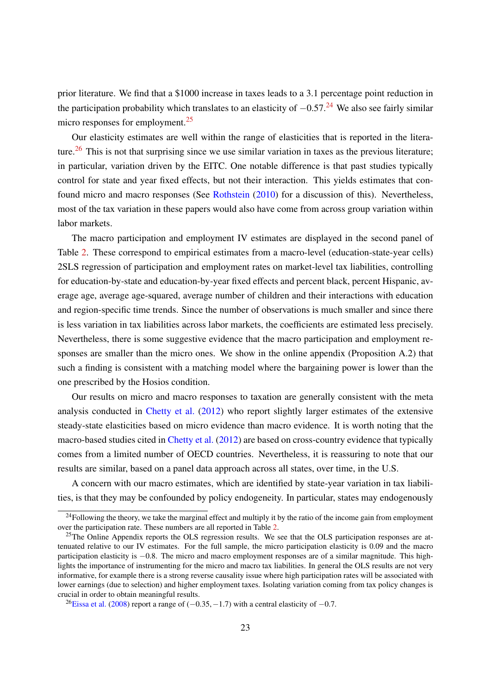prior literature. We find that a \$1000 increase in taxes leads to a 3.1 percentage point reduction in the participation probability which translates to an elasticity of  $-0.57<sup>24</sup>$  We also see fairly similar micro responses for employment.<sup>25</sup>

Our elasticity estimates are well within the range of elasticities that is reported in the literature.<sup>26</sup> This is not that surprising since we use similar variation in taxes as the previous literature; in particular, variation driven by the EITC. One notable difference is that past studies typically control for state and year fixed effects, but not their interaction. This yields estimates that confound micro and macro responses (See Rothstein (2010) for a discussion of this). Nevertheless, most of the tax variation in these papers would also have come from across group variation within labor markets.

The macro participation and employment IV estimates are displayed in the second panel of Table 2. These correspond to empirical estimates from a macro-level (education-state-year cells) 2SLS regression of participation and employment rates on market-level tax liabilities, controlling for education-by-state and education-by-year fixed effects and percent black, percent Hispanic, average age, average age-squared, average number of children and their interactions with education and region-specific time trends. Since the number of observations is much smaller and since there is less variation in tax liabilities across labor markets, the coefficients are estimated less precisely. Nevertheless, there is some suggestive evidence that the macro participation and employment responses are smaller than the micro ones. We show in the online appendix (Proposition A.2) that such a finding is consistent with a matching model where the bargaining power is lower than the one prescribed by the Hosios condition.

Our results on micro and macro responses to taxation are generally consistent with the meta analysis conducted in Chetty et al. (2012) who report slightly larger estimates of the extensive steady-state elasticities based on micro evidence than macro evidence. It is worth noting that the macro-based studies cited in Chetty et al. (2012) are based on cross-country evidence that typically comes from a limited number of OECD countries. Nevertheless, it is reassuring to note that our results are similar, based on a panel data approach across all states, over time, in the U.S.

A concern with our macro estimates, which are identified by state-year variation in tax liabilities, is that they may be confounded by policy endogeneity. In particular, states may endogenously

 $^{24}$ Following the theory, we take the marginal effect and multiply it by the ratio of the income gain from employment over the participation rate. These numbers are all reported in Table 2.

<sup>&</sup>lt;sup>25</sup>The Online Appendix reports the OLS regression results. We see that the OLS participation responses are attenuated relative to our IV estimates. For the full sample, the micro participation elasticity is 0.09 and the macro participation elasticity is −0.8. The micro and macro employment responses are of a similar magnitude. This highlights the importance of instrumenting for the micro and macro tax liabilities. In general the OLS results are not very informative, for example there is a strong reverse causality issue where high participation rates will be associated with lower earnings (due to selection) and higher employment taxes. Isolating variation coming from tax policy changes is crucial in order to obtain meaningful results.

<sup>&</sup>lt;sup>26</sup>Eissa et al. (2008) report a range of ( $-0.35, -1.7$ ) with a central elasticity of  $-0.7$ .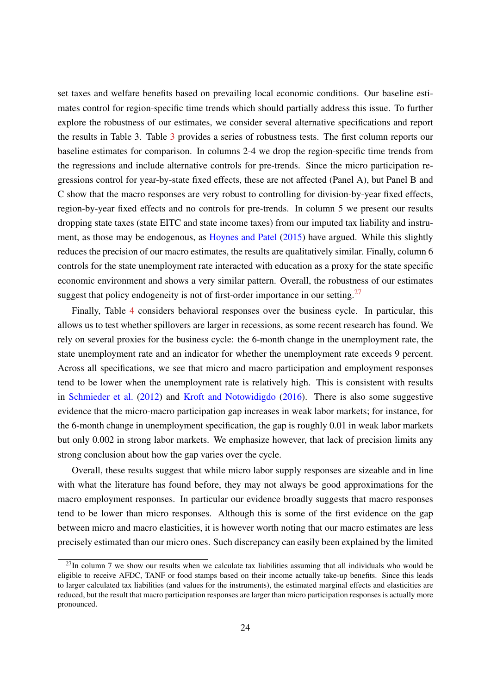set taxes and welfare benefits based on prevailing local economic conditions. Our baseline estimates control for region-specific time trends which should partially address this issue. To further explore the robustness of our estimates, we consider several alternative specifications and report the results in Table 3. Table 3 provides a series of robustness tests. The first column reports our baseline estimates for comparison. In columns 2-4 we drop the region-specific time trends from the regressions and include alternative controls for pre-trends. Since the micro participation regressions control for year-by-state fixed effects, these are not affected (Panel A), but Panel B and C show that the macro responses are very robust to controlling for division-by-year fixed effects, region-by-year fixed effects and no controls for pre-trends. In column 5 we present our results dropping state taxes (state EITC and state income taxes) from our imputed tax liability and instrument, as those may be endogenous, as Hoynes and Patel (2015) have argued. While this slightly reduces the precision of our macro estimates, the results are qualitatively similar. Finally, column 6 controls for the state unemployment rate interacted with education as a proxy for the state specific economic environment and shows a very similar pattern. Overall, the robustness of our estimates suggest that policy endogeneity is not of first-order importance in our setting.<sup>27</sup>

Finally, Table 4 considers behavioral responses over the business cycle. In particular, this allows us to test whether spillovers are larger in recessions, as some recent research has found. We rely on several proxies for the business cycle: the 6-month change in the unemployment rate, the state unemployment rate and an indicator for whether the unemployment rate exceeds 9 percent. Across all specifications, we see that micro and macro participation and employment responses tend to be lower when the unemployment rate is relatively high. This is consistent with results in Schmieder et al. (2012) and Kroft and Notowidigdo (2016). There is also some suggestive evidence that the micro-macro participation gap increases in weak labor markets; for instance, for the 6-month change in unemployment specification, the gap is roughly 0.01 in weak labor markets but only 0.002 in strong labor markets. We emphasize however, that lack of precision limits any strong conclusion about how the gap varies over the cycle.

Overall, these results suggest that while micro labor supply responses are sizeable and in line with what the literature has found before, they may not always be good approximations for the macro employment responses. In particular our evidence broadly suggests that macro responses tend to be lower than micro responses. Although this is some of the first evidence on the gap between micro and macro elasticities, it is however worth noting that our macro estimates are less precisely estimated than our micro ones. Such discrepancy can easily been explained by the limited

 $^{27}$ In column 7 we show our results when we calculate tax liabilities assuming that all individuals who would be eligible to receive AFDC, TANF or food stamps based on their income actually take-up benefits. Since this leads to larger calculated tax liabilities (and values for the instruments), the estimated marginal effects and elasticities are reduced, but the result that macro participation responses are larger than micro participation responses is actually more pronounced.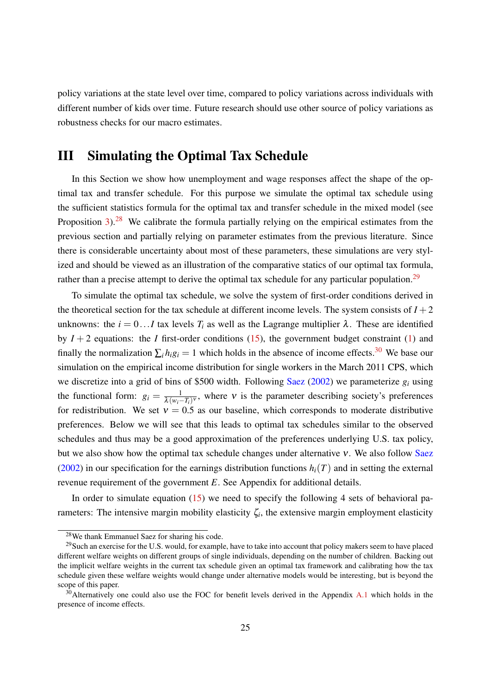policy variations at the state level over time, compared to policy variations across individuals with different number of kids over time. Future research should use other source of policy variations as robustness checks for our macro estimates.

### III Simulating the Optimal Tax Schedule

In this Section we show how unemployment and wage responses affect the shape of the optimal tax and transfer schedule. For this purpose we simulate the optimal tax schedule using the sufficient statistics formula for the optimal tax and transfer schedule in the mixed model (see Proposition 3).<sup>28</sup> We calibrate the formula partially relying on the empirical estimates from the previous section and partially relying on parameter estimates from the previous literature. Since there is considerable uncertainty about most of these parameters, these simulations are very stylized and should be viewed as an illustration of the comparative statics of our optimal tax formula, rather than a precise attempt to derive the optimal tax schedule for any particular population.<sup>29</sup>

To simulate the optimal tax schedule, we solve the system of first-order conditions derived in the theoretical section for the tax schedule at different income levels. The system consists of  $I + 2$ unknowns: the  $i = 0...I$  tax levels  $T_i$  as well as the Lagrange multiplier  $\lambda$ . These are identified by  $I + 2$  equations: the *I* first-order conditions (15), the government budget constraint (1) and finally the normalization  $\sum_i h_i g_i = 1$  which holds in the absence of income effects.<sup>30</sup> We base our simulation on the empirical income distribution for single workers in the March 2011 CPS, which we discretize into a grid of bins of \$500 width. Following Saez (2002) we parameterize *g<sup>i</sup>* using the functional form:  $g_i = \frac{1}{\lambda(w_i - T_i)^v}$ , where v is the parameter describing society's preferences for redistribution. We set  $v = 0.5$  as our baseline, which corresponds to moderate distributive preferences. Below we will see that this leads to optimal tax schedules similar to the observed schedules and thus may be a good approximation of the preferences underlying U.S. tax policy, but we also show how the optimal tax schedule changes under alternative  $v$ . We also follow Saez (2002) in our specification for the earnings distribution functions  $h_i(T)$  and in setting the external revenue requirement of the government *E*. See Appendix for additional details.

In order to simulate equation  $(15)$  we need to specify the following 4 sets of behavioral parameters: The intensive margin mobility elasticity  $\zeta_i$ , the extensive margin employment elasticity

<sup>28</sup>We thank Emmanuel Saez for sharing his code.

<sup>&</sup>lt;sup>29</sup>Such an exercise for the U.S. would, for example, have to take into account that policy makers seem to have placed different welfare weights on different groups of single individuals, depending on the number of children. Backing out the implicit welfare weights in the current tax schedule given an optimal tax framework and calibrating how the tax schedule given these welfare weights would change under alternative models would be interesting, but is beyond the scope of this paper.

<sup>&</sup>lt;sup>30</sup>Alternatively one could also use the FOC for benefit levels derived in the Appendix A.1 which holds in the presence of income effects.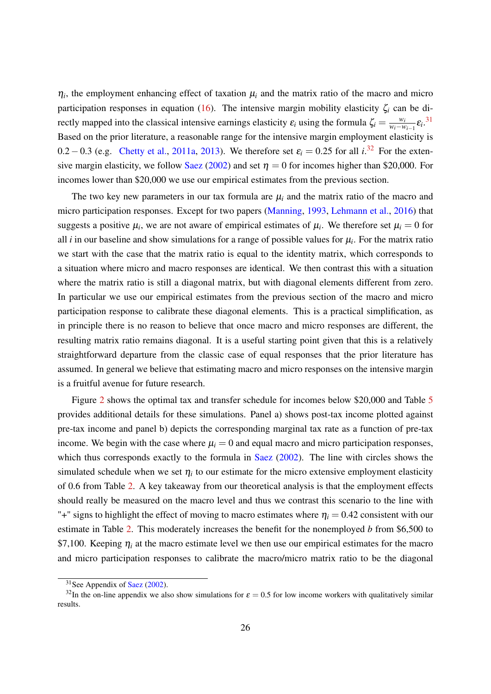$\eta_i$ , the employment enhancing effect of taxation  $\mu_i$  and the matrix ratio of the macro and micro participation responses in equation (16). The intensive margin mobility elasticity  $\zeta_i$  can be directly mapped into the classical intensive earnings elasticity  $\varepsilon_i$  using the formula  $\zeta_i = \frac{w_i}{w_i - w_i}$  $\frac{w_i}{w_i-w_{i-1}}\varepsilon_i$ <sup>31</sup> Based on the prior literature, a reasonable range for the intensive margin employment elasticity is 0.2 – 0.3 (e.g. Chetty et al., 2011a, 2013). We therefore set  $\varepsilon_i = 0.25$  for all  $i^{32}$  For the extensive margin elasticity, we follow Saez (2002) and set  $\eta = 0$  for incomes higher than \$20,000. For incomes lower than \$20,000 we use our empirical estimates from the previous section.

The two key new parameters in our tax formula are  $\mu_i$  and the matrix ratio of the macro and micro participation responses. Except for two papers (Manning, 1993, Lehmann et al., 2016) that suggests a positive  $\mu_i$ , we are not aware of empirical estimates of  $\mu_i$ . We therefore set  $\mu_i = 0$  for all  $i$  in our baseline and show simulations for a range of possible values for  $\mu_i$ . For the matrix ratio we start with the case that the matrix ratio is equal to the identity matrix, which corresponds to a situation where micro and macro responses are identical. We then contrast this with a situation where the matrix ratio is still a diagonal matrix, but with diagonal elements different from zero. In particular we use our empirical estimates from the previous section of the macro and micro participation response to calibrate these diagonal elements. This is a practical simplification, as in principle there is no reason to believe that once macro and micro responses are different, the resulting matrix ratio remains diagonal. It is a useful starting point given that this is a relatively straightforward departure from the classic case of equal responses that the prior literature has assumed. In general we believe that estimating macro and micro responses on the intensive margin is a fruitful avenue for future research.

Figure 2 shows the optimal tax and transfer schedule for incomes below \$20,000 and Table 5 provides additional details for these simulations. Panel a) shows post-tax income plotted against pre-tax income and panel b) depicts the corresponding marginal tax rate as a function of pre-tax income. We begin with the case where  $\mu$ <sup>*i*</sup> = 0 and equal macro and micro participation responses, which thus corresponds exactly to the formula in Saez (2002). The line with circles shows the simulated schedule when we set  $\eta_i$  to our estimate for the micro extensive employment elasticity of 0.6 from Table 2. A key takeaway from our theoretical analysis is that the employment effects should really be measured on the macro level and thus we contrast this scenario to the line with "+" signs to highlight the effect of moving to macro estimates where  $\eta_i = 0.42$  consistent with our estimate in Table 2. This moderately increases the benefit for the nonemployed *b* from \$6,500 to \$7,100. Keeping  $\eta_i$  at the macro estimate level we then use our empirical estimates for the macro and micro participation responses to calibrate the macro/micro matrix ratio to be the diagonal

<sup>&</sup>lt;sup>31</sup>See Appendix of Saez (2002).

<sup>&</sup>lt;sup>32</sup>In the on-line appendix we also show simulations for  $\varepsilon = 0.5$  for low income workers with qualitatively similar results.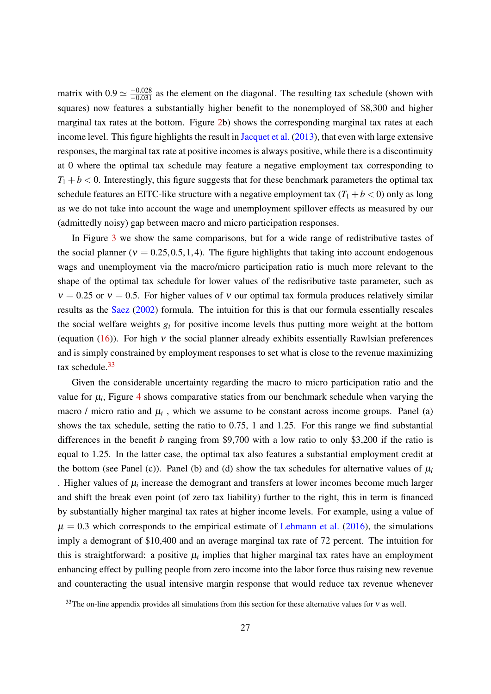matrix with  $0.9 \approx \frac{-0.028}{-0.031}$  as the element on the diagonal. The resulting tax schedule (shown with squares) now features a substantially higher benefit to the nonemployed of \$8,300 and higher marginal tax rates at the bottom. Figure 2b) shows the corresponding marginal tax rates at each income level. This figure highlights the result in Jacquet et al. (2013), that even with large extensive responses, the marginal tax rate at positive incomes is always positive, while there is a discontinuity at 0 where the optimal tax schedule may feature a negative employment tax corresponding to  $T_1 + b < 0$ . Interestingly, this figure suggests that for these benchmark parameters the optimal tax schedule features an EITC-like structure with a negative employment tax  $(T_1 + b < 0)$  only as long as we do not take into account the wage and unemployment spillover effects as measured by our (admittedly noisy) gap between macro and micro participation responses.

In Figure 3 we show the same comparisons, but for a wide range of redistributive tastes of the social planner ( $v = 0.25, 0.5, 1, 4$ ). The figure highlights that taking into account endogenous wags and unemployment via the macro/micro participation ratio is much more relevant to the shape of the optimal tax schedule for lower values of the redisributive taste parameter, such as  $v = 0.25$  or  $v = 0.5$ . For higher values of v our optimal tax formula produces relatively similar results as the Saez (2002) formula. The intuition for this is that our formula essentially rescales the social welfare weights *g<sup>i</sup>* for positive income levels thus putting more weight at the bottom (equation  $(16)$ ). For high v the social planner already exhibits essentially Rawlsian preferences and is simply constrained by employment responses to set what is close to the revenue maximizing tax schedule. $33$ 

Given the considerable uncertainty regarding the macro to micro participation ratio and the value for  $\mu_i$ , Figure 4 shows comparative statics from our benchmark schedule when varying the macro / micro ratio and  $\mu$ <sub>*i*</sub>, which we assume to be constant across income groups. Panel (a) shows the tax schedule, setting the ratio to 0.75, 1 and 1.25. For this range we find substantial differences in the benefit *b* ranging from \$9,700 with a low ratio to only \$3,200 if the ratio is equal to 1.25. In the latter case, the optimal tax also features a substantial employment credit at the bottom (see Panel (c)). Panel (b) and (d) show the tax schedules for alternative values of  $\mu_i$ . Higher values of  $\mu_i$  increase the demogrant and transfers at lower incomes become much larger and shift the break even point (of zero tax liability) further to the right, this in term is financed by substantially higher marginal tax rates at higher income levels. For example, using a value of  $\mu = 0.3$  which corresponds to the empirical estimate of Lehmann et al. (2016), the simulations imply a demogrant of \$10,400 and an average marginal tax rate of 72 percent. The intuition for this is straightforward: a positive  $\mu_i$  implies that higher marginal tax rates have an employment enhancing effect by pulling people from zero income into the labor force thus raising new revenue and counteracting the usual intensive margin response that would reduce tax revenue whenever

<sup>&</sup>lt;sup>33</sup>The on-line appendix provides all simulations from this section for these alternative values for v as well.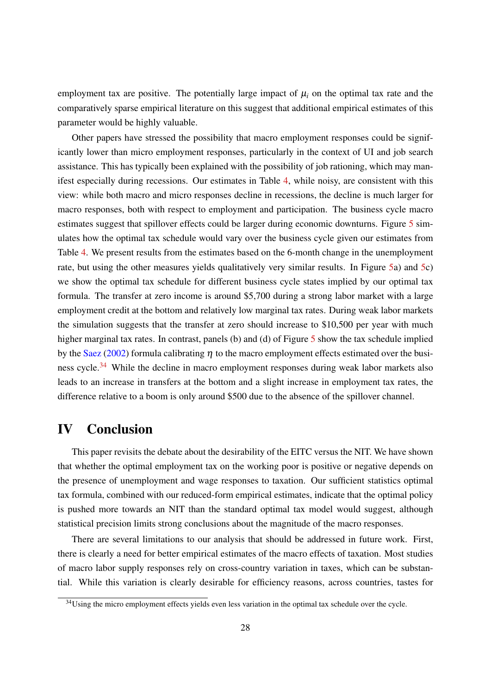employment tax are positive. The potentially large impact of  $\mu_i$  on the optimal tax rate and the comparatively sparse empirical literature on this suggest that additional empirical estimates of this parameter would be highly valuable.

Other papers have stressed the possibility that macro employment responses could be significantly lower than micro employment responses, particularly in the context of UI and job search assistance. This has typically been explained with the possibility of job rationing, which may manifest especially during recessions. Our estimates in Table 4, while noisy, are consistent with this view: while both macro and micro responses decline in recessions, the decline is much larger for macro responses, both with respect to employment and participation. The business cycle macro estimates suggest that spillover effects could be larger during economic downturns. Figure 5 simulates how the optimal tax schedule would vary over the business cycle given our estimates from Table 4. We present results from the estimates based on the 6-month change in the unemployment rate, but using the other measures yields qualitatively very similar results. In Figure 5a) and 5c) we show the optimal tax schedule for different business cycle states implied by our optimal tax formula. The transfer at zero income is around \$5,700 during a strong labor market with a large employment credit at the bottom and relatively low marginal tax rates. During weak labor markets the simulation suggests that the transfer at zero should increase to \$10,500 per year with much higher marginal tax rates. In contrast, panels (b) and (d) of Figure 5 show the tax schedule implied by the Saez (2002) formula calibrating  $\eta$  to the macro employment effects estimated over the business cycle.<sup>34</sup> While the decline in macro employment responses during weak labor markets also leads to an increase in transfers at the bottom and a slight increase in employment tax rates, the difference relative to a boom is only around \$500 due to the absence of the spillover channel.

### IV Conclusion

This paper revisits the debate about the desirability of the EITC versus the NIT. We have shown that whether the optimal employment tax on the working poor is positive or negative depends on the presence of unemployment and wage responses to taxation. Our sufficient statistics optimal tax formula, combined with our reduced-form empirical estimates, indicate that the optimal policy is pushed more towards an NIT than the standard optimal tax model would suggest, although statistical precision limits strong conclusions about the magnitude of the macro responses.

There are several limitations to our analysis that should be addressed in future work. First, there is clearly a need for better empirical estimates of the macro effects of taxation. Most studies of macro labor supply responses rely on cross-country variation in taxes, which can be substantial. While this variation is clearly desirable for efficiency reasons, across countries, tastes for

<sup>&</sup>lt;sup>34</sup>Using the micro employment effects yields even less variation in the optimal tax schedule over the cycle.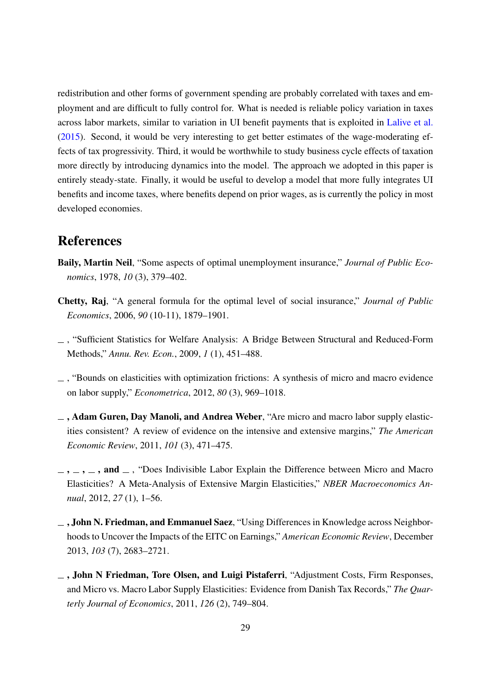redistribution and other forms of government spending are probably correlated with taxes and employment and are difficult to fully control for. What is needed is reliable policy variation in taxes across labor markets, similar to variation in UI benefit payments that is exploited in Lalive et al. (2015). Second, it would be very interesting to get better estimates of the wage-moderating effects of tax progressivity. Third, it would be worthwhile to study business cycle effects of taxation more directly by introducing dynamics into the model. The approach we adopted in this paper is entirely steady-state. Finally, it would be useful to develop a model that more fully integrates UI benefits and income taxes, where benefits depend on prior wages, as is currently the policy in most developed economies.

## References

- Baily, Martin Neil, "Some aspects of optimal unemployment insurance," *Journal of Public Economics*, 1978, *10* (3), 379–402.
- Chetty, Raj, "A general formula for the optimal level of social insurance," *Journal of Public Economics*, 2006, *90* (10-11), 1879–1901.
- , "Sufficient Statistics for Welfare Analysis: A Bridge Between Structural and Reduced-Form Methods," *Annu. Rev. Econ.*, 2009, *1* (1), 451–488.
- $\overline{\phantom{a}}$ , "Bounds on elasticities with optimization frictions: A synthesis of micro and macro evidence on labor supply," *Econometrica*, 2012, *80* (3), 969–1018.
- $\Box$ , Adam Guren, Day Manoli, and Andrea Weber, "Are micro and macro labor supply elasticities consistent? A review of evidence on the intensive and extensive margins," *The American Economic Review*, 2011, *101* (3), 471–475.
- $\ldots$ ,  $\ldots$ , and  $\ldots$ , "Does Indivisible Labor Explain the Difference between Micro and Macro Elasticities? A Meta-Analysis of Extensive Margin Elasticities," *NBER Macroeconomics Annual*, 2012, *27* (1), 1–56.
- $\Box$ , John N. Friedman, and Emmanuel Saez, "Using Differences in Knowledge across Neighborhoods to Uncover the Impacts of the EITC on Earnings," *American Economic Review*, December 2013, *103* (7), 2683–2721.
- $\Box$ , John N Friedman, Tore Olsen, and Luigi Pistaferri, "Adjustment Costs, Firm Responses, and Micro vs. Macro Labor Supply Elasticities: Evidence from Danish Tax Records," *The Quarterly Journal of Economics*, 2011, *126* (2), 749–804.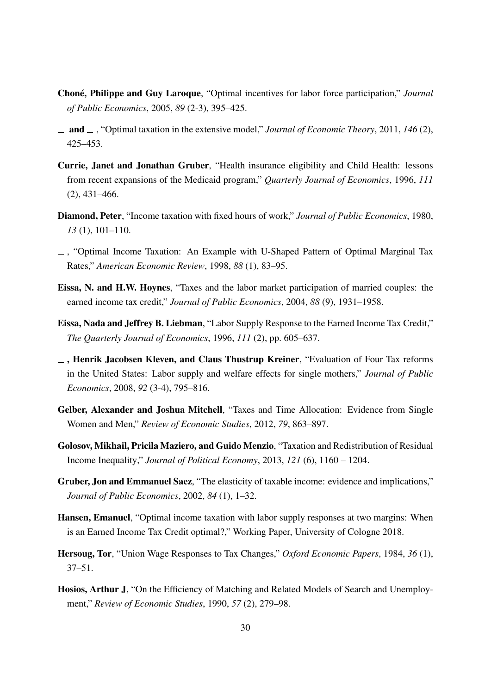- Choné, Philippe and Guy Laroque, "Optimal incentives for labor force participation," *Journal of Public Economics*, 2005, *89* (2-3), 395–425.
- and , "Optimal taxation in the extensive model," *Journal of Economic Theory*, 2011, *146* (2), 425–453.
- Currie, Janet and Jonathan Gruber, "Health insurance eligibility and Child Health: lessons from recent expansions of the Medicaid program," *Quarterly Journal of Economics*, 1996, *111* (2), 431–466.
- Diamond, Peter, "Income taxation with fixed hours of work," *Journal of Public Economics*, 1980, *13* (1), 101–110.
- $\overline{a}$ , "Optimal Income Taxation: An Example with U-Shaped Pattern of Optimal Marginal Tax Rates," *American Economic Review*, 1998, *88* (1), 83–95.
- Eissa, N. and H.W. Hoynes, "Taxes and the labor market participation of married couples: the earned income tax credit," *Journal of Public Economics*, 2004, *88* (9), 1931–1958.
- Eissa, Nada and Jeffrey B. Liebman, "Labor Supply Response to the Earned Income Tax Credit," *The Quarterly Journal of Economics*, 1996, *111* (2), pp. 605–637.
- $\overline{\phantom{a}}$ , Henrik Jacobsen Kleven, and Claus Thustrup Kreiner, "Evaluation of Four Tax reforms in the United States: Labor supply and welfare effects for single mothers," *Journal of Public Economics*, 2008, *92* (3-4), 795–816.
- Gelber, Alexander and Joshua Mitchell, "Taxes and Time Allocation: Evidence from Single Women and Men," *Review of Economic Studies*, 2012, *79*, 863–897.
- Golosov, Mikhail, Pricila Maziero, and Guido Menzio, "Taxation and Redistribution of Residual Income Inequality," *Journal of Political Economy*, 2013, *121* (6), 1160 – 1204.
- Gruber, Jon and Emmanuel Saez, "The elasticity of taxable income: evidence and implications," *Journal of Public Economics*, 2002, *84* (1), 1–32.
- Hansen, Emanuel, "Optimal income taxation with labor supply responses at two margins: When is an Earned Income Tax Credit optimal?," Working Paper, University of Cologne 2018.
- Hersoug, Tor, "Union Wage Responses to Tax Changes," *Oxford Economic Papers*, 1984, *36* (1), 37–51.
- Hosios, Arthur J, "On the Efficiency of Matching and Related Models of Search and Unemployment," *Review of Economic Studies*, 1990, *57* (2), 279–98.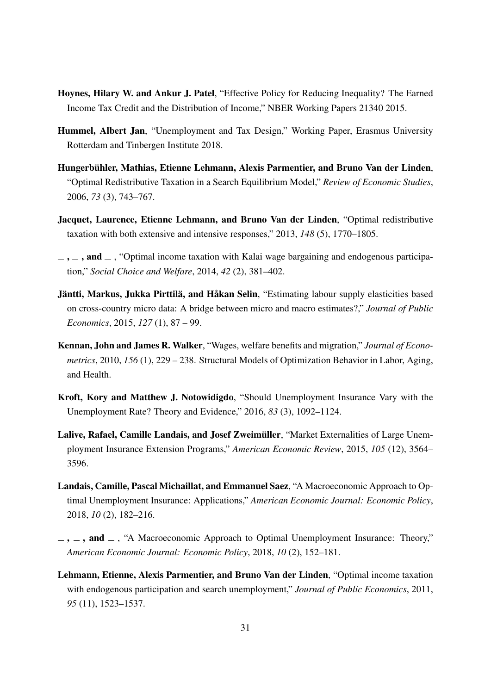- Hoynes, Hilary W. and Ankur J. Patel, "Effective Policy for Reducing Inequality? The Earned Income Tax Credit and the Distribution of Income," NBER Working Papers 21340 2015.
- Hummel, Albert Jan, "Unemployment and Tax Design," Working Paper, Erasmus University Rotterdam and Tinbergen Institute 2018.
- Hungerbühler, Mathias, Etienne Lehmann, Alexis Parmentier, and Bruno Van der Linden, "Optimal Redistributive Taxation in a Search Equilibrium Model," *Review of Economic Studies*, 2006, *73* (3), 743–767.
- Jacquet, Laurence, Etienne Lehmann, and Bruno Van der Linden, "Optimal redistributive taxation with both extensive and intensive responses," 2013, *148* (5), 1770–1805.
- $\ldots$ , and  $\ldots$ , "Optimal income taxation with Kalai wage bargaining and endogenous participation," *Social Choice and Welfare*, 2014, *42* (2), 381–402.
- Jäntti, Markus, Jukka Pirttilä, and Håkan Selin, "Estimating labour supply elasticities based on cross-country micro data: A bridge between micro and macro estimates?," *Journal of Public Economics*, 2015, *127* (1), 87 – 99.
- Kennan, John and James R. Walker, "Wages, welfare benefits and migration," *Journal of Econometrics*, 2010, *156* (1), 229 – 238. Structural Models of Optimization Behavior in Labor, Aging, and Health.
- Kroft, Kory and Matthew J. Notowidigdo, "Should Unemployment Insurance Vary with the Unemployment Rate? Theory and Evidence," 2016, *83* (3), 1092–1124.
- Lalive, Rafael, Camille Landais, and Josef Zweimüller, "Market Externalities of Large Unemployment Insurance Extension Programs," *American Economic Review*, 2015, *105* (12), 3564– 3596.
- Landais, Camille, Pascal Michaillat, and Emmanuel Saez, "A Macroeconomic Approach to Optimal Unemployment Insurance: Applications," *American Economic Journal: Economic Policy*, 2018, *10* (2), 182–216.
- $\ldots$ , and  $\ldots$ , "A Macroeconomic Approach to Optimal Unemployment Insurance: Theory," *American Economic Journal: Economic Policy*, 2018, *10* (2), 152–181.
- Lehmann, Etienne, Alexis Parmentier, and Bruno Van der Linden, "Optimal income taxation with endogenous participation and search unemployment," *Journal of Public Economics*, 2011, *95* (11), 1523–1537.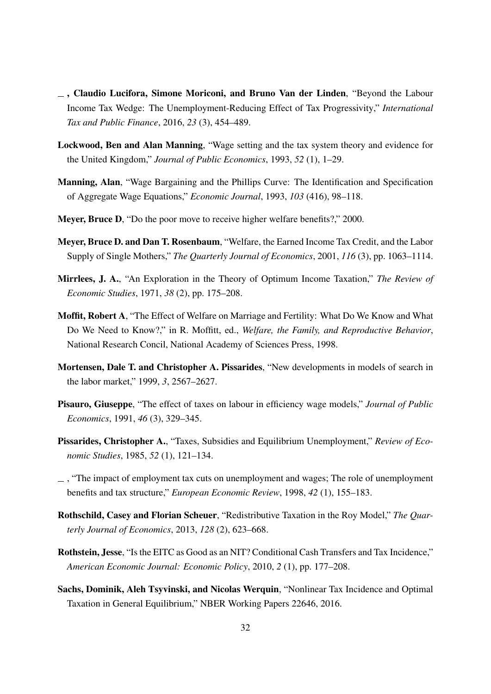- , Claudio Lucifora, Simone Moriconi, and Bruno Van der Linden, "Beyond the Labour Income Tax Wedge: The Unemployment-Reducing Effect of Tax Progressivity," *International Tax and Public Finance*, 2016, *23* (3), 454–489.
- Lockwood, Ben and Alan Manning, "Wage setting and the tax system theory and evidence for the United Kingdom," *Journal of Public Economics*, 1993, *52* (1), 1–29.
- Manning, Alan, "Wage Bargaining and the Phillips Curve: The Identification and Specification of Aggregate Wage Equations," *Economic Journal*, 1993, *103* (416), 98–118.
- Meyer, Bruce D, "Do the poor move to receive higher welfare benefits?," 2000.
- Meyer, Bruce D. and Dan T. Rosenbaum, "Welfare, the Earned Income Tax Credit, and the Labor Supply of Single Mothers," *The Quarterly Journal of Economics*, 2001, *116* (3), pp. 1063–1114.
- Mirrlees, J. A., "An Exploration in the Theory of Optimum Income Taxation," *The Review of Economic Studies*, 1971, *38* (2), pp. 175–208.
- Moffit, Robert A, "The Effect of Welfare on Marriage and Fertility: What Do We Know and What Do We Need to Know?," in R. Moffitt, ed., *Welfare, the Family, and Reproductive Behavior*, National Research Concil, National Academy of Sciences Press, 1998.
- Mortensen, Dale T. and Christopher A. Pissarides, "New developments in models of search in the labor market," 1999, *3*, 2567–2627.
- Pisauro, Giuseppe, "The effect of taxes on labour in efficiency wage models," *Journal of Public Economics*, 1991, *46* (3), 329–345.
- Pissarides, Christopher A., "Taxes, Subsidies and Equilibrium Unemployment," *Review of Economic Studies*, 1985, *52* (1), 121–134.
- $\overline{\phantom{a}}$ , "The impact of employment tax cuts on unemployment and wages; The role of unemployment benefits and tax structure," *European Economic Review*, 1998, *42* (1), 155–183.
- Rothschild, Casey and Florian Scheuer, "Redistributive Taxation in the Roy Model," *The Quarterly Journal of Economics*, 2013, *128* (2), 623–668.
- Rothstein, Jesse, "Is the EITC as Good as an NIT? Conditional Cash Transfers and Tax Incidence," *American Economic Journal: Economic Policy*, 2010, *2* (1), pp. 177–208.
- Sachs, Dominik, Aleh Tsyvinski, and Nicolas Werquin, "Nonlinear Tax Incidence and Optimal Taxation in General Equilibrium," NBER Working Papers 22646, 2016.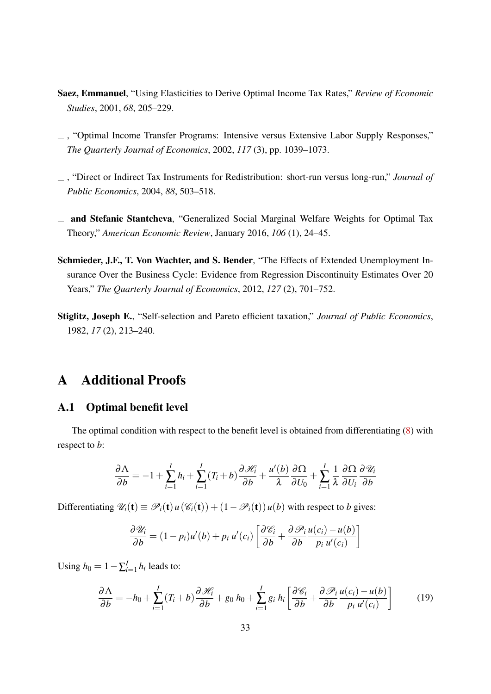- Saez, Emmanuel, "Using Elasticities to Derive Optimal Income Tax Rates," *Review of Economic Studies*, 2001, *68*, 205–229.
- , "Optimal Income Transfer Programs: Intensive versus Extensive Labor Supply Responses," *The Quarterly Journal of Economics*, 2002, *117* (3), pp. 1039–1073.
- , "Direct or Indirect Tax Instruments for Redistribution: short-run versus long-run," *Journal of Public Economics*, 2004, *88*, 503–518.
- and Stefanie Stantcheva, "Generalized Social Marginal Welfare Weights for Optimal Tax Theory," *American Economic Review*, January 2016, *106* (1), 24–45.
- Schmieder, J.F., T. Von Wachter, and S. Bender, "The Effects of Extended Unemployment Insurance Over the Business Cycle: Evidence from Regression Discontinuity Estimates Over 20 Years," *The Quarterly Journal of Economics*, 2012, *127* (2), 701–752.
- Stiglitz, Joseph E., "Self-selection and Pareto efficient taxation," *Journal of Public Economics*, 1982, *17* (2), 213–240.

### A Additional Proofs

#### A.1 Optimal benefit level

The optimal condition with respect to the benefit level is obtained from differentiating (8) with respect to *b*:

$$
\frac{\partial \Lambda}{\partial b} = -1 + \sum_{i=1}^{I} h_i + \sum_{i=1}^{I} (T_i + b) \frac{\partial \mathcal{H}_i}{\partial b} + \frac{u'(b)}{\lambda} \frac{\partial \Omega}{\partial U_0} + \sum_{i=1}^{I} \frac{1}{\lambda} \frac{\partial \Omega}{\partial U_i} \frac{\partial \mathcal{U}_i}{\partial b}
$$

Differentiating  $\mathcal{U}_i(\mathbf{t}) \equiv \mathcal{P}_i(\mathbf{t}) u(\mathcal{C}_i(\mathbf{t})) + (1 - \mathcal{P}_i(\mathbf{t})) u(b)$  with respect to *b* gives:

$$
\frac{\partial \mathscr{U}_i}{\partial b} = (1 - p_i)u'(b) + p_i u'(c_i) \left[ \frac{\partial \mathscr{C}_i}{\partial b} + \frac{\partial \mathscr{P}_i}{\partial b} \frac{u(c_i) - u(b)}{p_i u'(c_i)} \right]
$$

Using  $h_0 = 1 - \sum_{i=1}^I h_i$  leads to:

$$
\frac{\partial \Lambda}{\partial b} = -h_0 + \sum_{i=1}^{I} (T_i + b) \frac{\partial \mathcal{H}_i}{\partial b} + g_0 h_0 + \sum_{i=1}^{I} g_i h_i \left[ \frac{\partial \mathcal{C}_i}{\partial b} + \frac{\partial \mathcal{P}_i}{\partial b} \frac{u(c_i) - u(b)}{p_i u'(c_i)} \right]
$$
(19)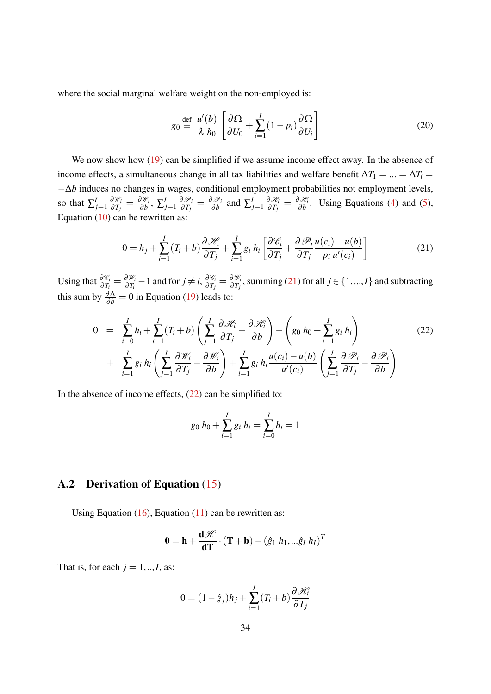where the social marginal welfare weight on the non-employed is:

$$
g_0 \stackrel{\text{def}}{=} \frac{u'(b)}{\lambda h_0} \left[ \frac{\partial \Omega}{\partial U_0} + \sum_{i=1}^I (1 - p_i) \frac{\partial \Omega}{\partial U_i} \right] \tag{20}
$$

We now show how (19) can be simplified if we assume income effect away. In the absence of income effects, a simultaneous change in all tax liabilities and welfare benefit  $\Delta T_1 = ... = \Delta T_i$ −∆*b* induces no changes in wages, conditional employment probabilities not employment levels, so that  $\sum_{j=1}^{I} \frac{\partial \mathcal{W}_i}{\partial T_i}$  $\frac{\partial \mathscr{W}_i}{\partial T_j} = \frac{\partial \mathscr{W}_i}{\partial b}$  $\frac{\partial \mathscr{W}_{i}}{\partial b},~\sum_{j=1}^{I}\frac{\partial \mathscr{P}_{i}}{\partial T_{j}}$  $\frac{\partial \mathscr{P}_i}{\partial T_j} = \frac{\partial \mathscr{P}_i}{\partial b}$  $\frac{\partial \mathscr{P}_i}{\partial b}$  and  $\sum_{j=1}^I \frac{\partial \mathscr{H}_i}{\partial T_j}$  $\frac{\partial \mathscr{H}_i}{\partial T_j} = \frac{\partial \mathscr{H}_i}{\partial b}$  $\frac{\partial \mathcal{M}_i}{\partial b}$ . Using Equations (4) and (5), Equation  $(10)$  can be rewritten as:

$$
0 = h_j + \sum_{i=1}^{I} (T_i + b) \frac{\partial \mathcal{H}_i}{\partial T_j} + \sum_{i=1}^{I} g_i h_i \left[ \frac{\partial \mathcal{C}_i}{\partial T_j} + \frac{\partial \mathcal{P}_i}{\partial T_j} \frac{u(c_i) - u(b)}{p_i u'(c_i)} \right]
$$
(21)

Using that  $\frac{\partial \mathscr{C}_i}{\partial T_i} = \frac{\partial \mathscr{W}_i}{\partial T_i}$  $\frac{\partial \mathscr{W}_i}{\partial T_i} - 1$  and for  $j \neq i, \frac{\partial \mathscr{C}_i}{\partial T_j}$  $\frac{\partial \mathscr{C}_i}{\partial T_j} = \frac{\partial \mathscr{W}_i}{\partial T_j}$  $\frac{\partial w_i}{\partial T_j}$ , summing (21) for all  $j \in \{1,...,I\}$  and subtracting this sum by  $\frac{\partial \Lambda}{\partial b} = 0$  in Equation (19) leads to:

$$
0 = \sum_{i=0}^{I} h_i + \sum_{i=1}^{I} (T_i + b) \left( \sum_{j=1}^{I} \frac{\partial \mathcal{H}_i}{\partial T_j} - \frac{\partial \mathcal{H}_i}{\partial b} \right) - \left( g_0 h_0 + \sum_{i=1}^{I} g_i h_i \right) + \sum_{i=1}^{I} g_i h_i \left( \sum_{j=1}^{I} \frac{\partial \mathcal{W}_i}{\partial T_j} - \frac{\partial \mathcal{W}_i}{\partial b} \right) + \sum_{i=1}^{I} g_i h_i \frac{u(c_i) - u(b)}{u'(c_i)} \left( \sum_{j=1}^{I} \frac{\partial \mathcal{P}_i}{\partial T_j} - \frac{\partial \mathcal{P}_i}{\partial b} \right)
$$
(22)

In the absence of income effects,  $(22)$  can be simplified to:

$$
g_0 h_0 + \sum_{i=1}^{I} g_i h_i = \sum_{i=0}^{I} h_i = 1
$$

#### A.2 Derivation of Equation (15)

Using Equation  $(16)$ , Equation  $(11)$  can be rewritten as:

$$
\mathbf{0} = \mathbf{h} + \frac{\mathbf{d} \mathcal{H}}{\mathbf{d} \mathbf{T}} \cdot (\mathbf{T} + \mathbf{b}) - (\hat{g}_1 \ h_1, \dots \hat{g}_I \ h_I)^T
$$

That is, for each  $j = 1, \dots, I$ , as:

$$
0 = (1 - \hat{g}_j)h_j + \sum_{i=1}^{I} (T_i + b) \frac{\partial \mathcal{H}_i}{\partial T_j}
$$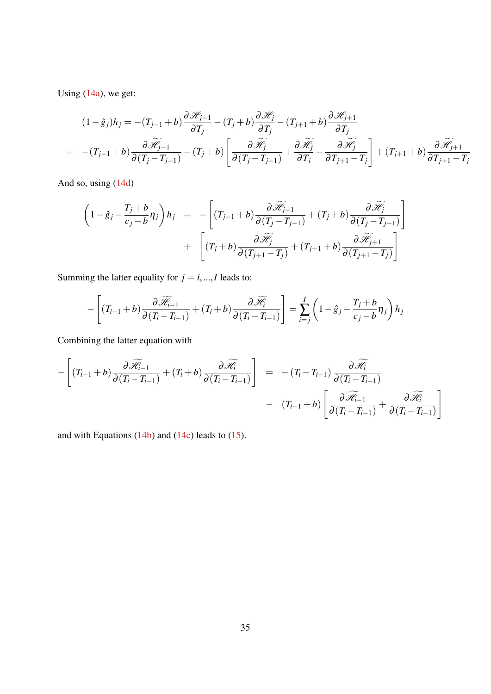Using (14a), we get:

$$
(1 - \hat{g}_j)h_j = -(T_{j-1} + b)\frac{\partial \mathcal{H}_{j-1}}{\partial T_j} - (T_j + b)\frac{\partial \mathcal{H}_j}{\partial T_j} - (T_{j+1} + b)\frac{\partial \mathcal{H}_{j+1}}{\partial T_j}
$$
  
= -(T\_{j-1} + b)\frac{\partial \widetilde{\mathcal{H}\_{j-1}}}{\partial (T\_j - T\_{j-1})} - (T\_j + b)\left[\frac{\partial \widetilde{\mathcal{H}\_j}}{\partial (T\_j - T\_{j-1})} + \frac{\partial \widetilde{\mathcal{H}\_j}}{\partial T\_j} - \frac{\partial \widetilde{\mathcal{H}\_j}}{\partial T\_{j+1} - T\_j}\right] + (T\_{j+1} + b)\frac{\partial \widetilde{\mathcal{H}\_{j+1}}}{\partial T\_{j+1} - T\_j}

And so, using (14d)

$$
\begin{array}{rcl}\n\left(1-\hat{g}_j-\frac{T_j+b}{c_j-b}\eta_j\right)h_j & = & -\left[ (T_{j-1}+b)\frac{\partial \widetilde{\mathcal{H}}_{j-1}}{\partial (T_j-T_{j-1})}+(T_j+b)\frac{\partial \widetilde{\mathcal{H}}_j}{\partial (T_j-T_{j-1})}\right] \\
& & + & \left[ (T_j+b)\frac{\partial \widetilde{\mathcal{H}}_j}{\partial (T_{j+1}-T_j)}+(T_{j+1}+b)\frac{\partial \widetilde{\mathcal{H}}_{j+1}}{\partial (T_{j+1}-T_j)}\right]\n\end{array}
$$

Summing the latter equality for  $j = i, ..., I$  leads to:

$$
-\left[ (T_{i-1}+b)\frac{\partial \widetilde{\mathcal{H}}_{i-1}}{\partial (T_i-T_{i-1})} + (T_i+b)\frac{\partial \widetilde{\mathcal{H}}_i}{\partial (T_i-T_{i-1})} \right] = \sum_{i=j}^{I} \left(1-\hat{g}_j-\frac{T_j+b}{c_j-b}\eta_j\right)h_j
$$

Combining the latter equation with

$$
-\left[ (T_{i-1}+b)\frac{\partial \widetilde{\mathcal{H}}_{i-1}}{\partial (T_i-T_{i-1})} + (T_i+b)\frac{\partial \widetilde{\mathcal{H}}_i}{\partial (T_i-T_{i-1})}\right] = -(T_i-T_{i-1})\frac{\partial \widetilde{\mathcal{H}}_i}{\partial (T_i-T_{i-1})} - (T_{i-1}+b)\left[ \frac{\partial \widetilde{\mathcal{H}}_{i-1}}{\partial (T_i-T_{i-1})} + \frac{\partial \widetilde{\mathcal{H}}_i}{\partial (T_i-T_{i-1})}\right]
$$

and with Equations  $(14b)$  and  $(14c)$  leads to  $(15)$ .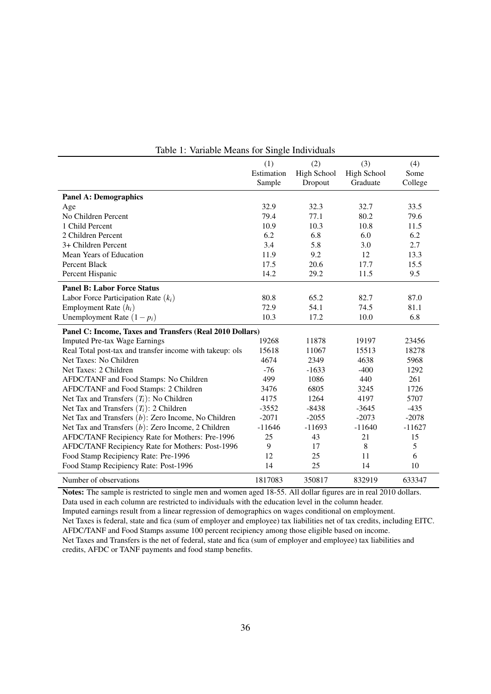|                                                          | (1)        | (2)         | (3)         | (4)      |
|----------------------------------------------------------|------------|-------------|-------------|----------|
|                                                          | Estimation | High School | High School | Some     |
|                                                          | Sample     | Dropout     | Graduate    | College  |
| <b>Panel A: Demographics</b>                             |            |             |             |          |
| Age                                                      | 32.9       | 32.3        | 32.7        | 33.5     |
| No Children Percent                                      | 79.4       | 77.1        | 80.2        | 79.6     |
| 1 Child Percent                                          | 10.9       | 10.3        | 10.8        | 11.5     |
| 2 Children Percent                                       | 6.2        | 6.8         | 6.0         | 6.2      |
| 3+ Children Percent                                      | 3.4        | 5.8         | 3.0         | 2.7      |
| Mean Years of Education                                  | 11.9       | 9.2         | 12          | 13.3     |
| Percent Black                                            | 17.5       | 20.6        | 17.7        | 15.5     |
| Percent Hispanic                                         | 14.2       | 29.2        | 11.5        | 9.5      |
| <b>Panel B: Labor Force Status</b>                       |            |             |             |          |
| Labor Force Participation Rate $(ki)$                    | 80.8       | 65.2        | 82.7        | 87.0     |
| Employment Rate $(h_i)$                                  | 72.9       | 54.1        | 74.5        | 81.1     |
| Unemployment Rate $(1-p_i)$                              | 10.3       | 17.2        | 10.0        | 6.8      |
| Panel C: Income, Taxes and Transfers (Real 2010 Dollars) |            |             |             |          |
| <b>Imputed Pre-tax Wage Earnings</b>                     | 19268      | 11878       | 19197       | 23456    |
| Real Total post-tax and transfer income with takeup: ols | 15618      | 11067       | 15513       | 18278    |
| Net Taxes: No Children                                   | 4674       | 2349        | 4638        | 5968     |
| Net Taxes: 2 Children                                    | $-76$      | $-1633$     | $-400$      | 1292     |
| AFDC/TANF and Food Stamps: No Children                   | 499        | 1086        | 440         | 261      |
| AFDC/TANF and Food Stamps: 2 Children                    | 3476       | 6805        | 3245        | 1726     |
| Net Tax and Transfers $(T_i)$ : No Children              | 4175       | 1264        | 4197        | 5707     |
| Net Tax and Transfers $(T_i)$ : 2 Children               | $-3552$    | $-8438$     | $-3645$     | $-435$   |
| Net Tax and Transfers $(b)$ : Zero Income, No Children   | $-2071$    | $-2055$     | $-2073$     | $-2078$  |
| Net Tax and Transfers $(b)$ : Zero Income, 2 Children    | $-11646$   | $-11693$    | $-11640$    | $-11627$ |
| AFDC/TANF Recipiency Rate for Mothers: Pre-1996          | 25         | 43          | 21          | 15       |
| AFDC/TANF Recipiency Rate for Mothers: Post-1996         | 9          | 17          | 8           | 5        |
| Food Stamp Recipiency Rate: Pre-1996                     | 12         | 25          | 11          | 6        |
| Food Stamp Recipiency Rate: Post-1996                    | 14         | 25          | 14          | 10       |
| Number of observations                                   | 1817083    | 350817      | 832919      | 633347   |

#### Table 1: Variable Means for Single Individuals

Notes: The sample is restricted to single men and women aged 18-55. All dollar figures are in real 2010 dollars. Data used in each column are restricted to individuals with the education level in the column header. Imputed earnings result from a linear regression of demographics on wages conditional on employment. Net Taxes is federal, state and fica (sum of employer and employee) tax liabilities net of tax credits, including EITC. AFDC/TANF and Food Stamps assume 100 percent recipiency among those eligible based on income. Net Taxes and Transfers is the net of federal, state and fica (sum of employer and employee) tax liabilities and credits, AFDC or TANF payments and food stamp benefits.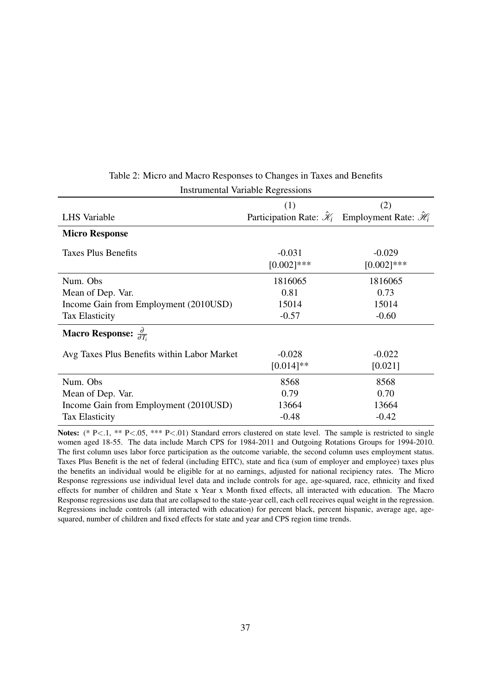|                                                      | (1)                       | (2)                                                                              |
|------------------------------------------------------|---------------------------|----------------------------------------------------------------------------------|
| LHS Variable                                         |                           | Participation Rate: $\hat{\mathcal{X}}_i$ Employment Rate: $\hat{\mathcal{H}}_i$ |
| <b>Micro Response</b>                                |                           |                                                                                  |
| Taxes Plus Benefits                                  | $-0.031$<br>$[0.002]$ *** | $-0.029$<br>$[0.002]$ ***                                                        |
| Num. Obs                                             | 1816065                   | 1816065                                                                          |
| Mean of Dep. Var.                                    | 0.81                      | 0.73                                                                             |
| Income Gain from Employment (2010USD)                | 15014                     | 15014                                                                            |
| <b>Tax Elasticity</b>                                | $-0.57$                   | $-0.60$                                                                          |
| <b>Macro Response:</b> $\frac{\partial}{\partial T}$ |                           |                                                                                  |
| Avg Taxes Plus Benefits within Labor Market          | $-0.028$                  | $-0.022$                                                                         |
|                                                      | $[0.014]$ **              | [0.021]                                                                          |
| Num. Obs                                             | 8568                      | 8568                                                                             |
| Mean of Dep. Var.                                    | 0.79                      | 0.70                                                                             |
| Income Gain from Employment (2010USD)                | 13664                     | 13664                                                                            |
| <b>Tax Elasticity</b>                                | $-0.48$                   | $-0.42$                                                                          |

### Table 2: Micro and Macro Responses to Changes in Taxes and Benefits Instrumental Variable Regressions

Notes: (\* P<.1, \*\* P<.05, \*\*\* P<.01) Standard errors clustered on state level. The sample is restricted to single women aged 18-55. The data include March CPS for 1984-2011 and Outgoing Rotations Groups for 1994-2010. The first column uses labor force participation as the outcome variable, the second column uses employment status. Taxes Plus Benefit is the net of federal (including EITC), state and fica (sum of employer and employee) taxes plus the benefits an individual would be eligible for at no earnings, adjusted for national recipiency rates. The Micro Response regressions use individual level data and include controls for age, age-squared, race, ethnicity and fixed effects for number of children and State x Year x Month fixed effects, all interacted with education. The Macro Response regressions use data that are collapsed to the state-year cell, each cell receives equal weight in the regression. Regressions include controls (all interacted with education) for percent black, percent hispanic, average age, agesquared, number of children and fixed effects for state and year and CPS region time trends.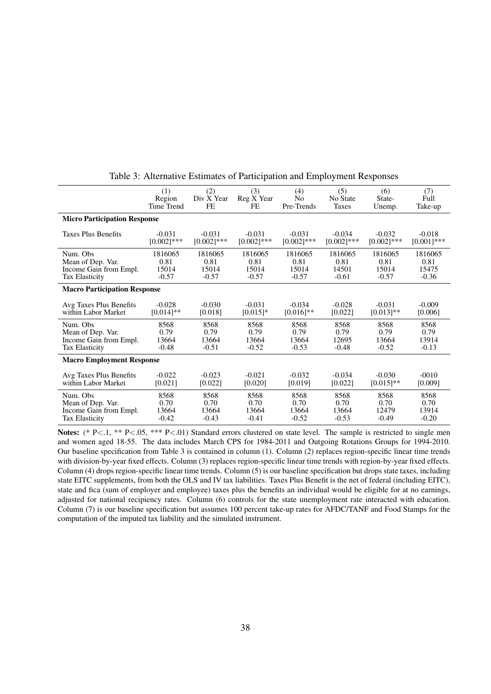|                                     | (1)           | (2)           | (3)           | (4)           | (5)           | (6)           | (7)           |  |
|-------------------------------------|---------------|---------------|---------------|---------------|---------------|---------------|---------------|--|
|                                     | Region        | Div X Year    | Reg X Year    | No            | No State      | State-        | Full          |  |
|                                     | Time Trend    | FE.           | FE            | Pre-Trends    | Taxes         | Unemp.        | Take-up       |  |
| <b>Micro Participation Response</b> |               |               |               |               |               |               |               |  |
| <b>Taxes Plus Benefits</b>          | $-0.031$      | $-0.031$      | $-0.031$      | $-0.031$      | $-0.034$      | $-0.032$      | $-0.018$      |  |
|                                     | $[0.002]$ *** | $[0.002]$ *** | $[0.002]$ *** | $[0.002]$ *** | $[0.002]$ *** | $[0.002]$ *** | $[0.001]$ *** |  |
| Num. Obs                            | 1816065       | 1816065       | 1816065       | 1816065       | 1816065       | 1816065       | 1816065       |  |
| Mean of Dep. Var.                   | 0.81          | 0.81          | 0.81          | 0.81          | 0.81          | 0.81          | 0.81          |  |
| Income Gain from Empl.              | 15014         | 15014         | 15014         | 15014         | 14501         | 15014         | 15475         |  |
| <b>Tax Elasticity</b>               | $-0.57$       | $-0.57$       | $-0.57$       | $-0.57$       | $-0.61$       | $-0.57$       | $-0.36$       |  |
| <b>Macro Participation Response</b> |               |               |               |               |               |               |               |  |
| Avg Taxes Plus Benefits             | $-0.028$      | $-0.030$      | $-0.031$      | $-0.034$      | $-0.028$      | $-0.031$      | $-0.009$      |  |
| within Labor Market                 | $[0.014]$ **  | [0.018]       | $[0.015]*$    | $[0.016]$ **  | [0.022]       | $[0.013]$ **  | [0.006]       |  |
| Num. Obs.                           | 8568          | 8568          | 8568          | 8568          | 8568          | 8568          | 8568          |  |
| Mean of Dep. Var.                   | 0.79          | 0.79          | 0.79          | 0.79          | 0.79          | 0.79          | 0.79          |  |
| Income Gain from Empl.              | 13664         | 13664         | 13664         | 13664         | 12695         | 13664         | 13914         |  |
| <b>Tax Elasticity</b>               | $-0.48$       | $-0.51$       | $-0.52$       | $-0.53$       | $-0.48$       | $-0.52$       | $-0.13$       |  |
| <b>Macro Employment Response</b>    |               |               |               |               |               |               |               |  |
| Avg Taxes Plus Benefits             | $-0.022$      | $-0.023$      | $-0.021$      | $-0.032$      | $-0.034$      | $-0.030$      | $-0010$       |  |
| within Labor Market                 | [0.021]       | [0.022]       | [0.020]       | [0.019]       | [0.022]       | $[0.015]$ **  | [0.009]       |  |
| Num. Obs.                           | 8568          | 8568          | 8568          | 8568          | 8568          | 8568          | 8568          |  |
| Mean of Dep. Var.                   | 0.70          | 0.70          | 0.70          | 0.70          | 0.70          | 0.70          | 0.70          |  |
| Income Gain from Empl.              | 13664         | 13664         | 13664         | 13664         | 13664         | 12479         | 13914         |  |
| <b>Tax Elasticity</b>               | $-0.42$       | $-0.43$       | $-0.41$       | $-0.52$       | $-0.53$       | $-0.49$       | $-0.20$       |  |

Table 3: Alternative Estimates of Participation and Employment Responses

Notes: (\* P<.1, \*\* P<.05, \*\*\* P<.01) Standard errors clustered on state level. The sample is restricted to single men and women aged 18-55. The data includes March CPS for 1984-2011 and Outgoing Rotations Groups for 1994-2010. Our baseline specification from Table 3 is contained in column (1). Column (2) replaces region-specific linear time trends with division-by-year fixed effects. Column (3) replaces region-specific linear time trends with region-by-year fixed effects. Column (4) drops region-specific linear time trends. Column (5) is our baseline specification but drops state taxes, including state EITC supplements, from both the OLS and IV tax liabilities. Taxes Plus Benefit is the net of federal (including EITC), state and fica (sum of employer and employee) taxes plus the benefits an individual would be eligible for at no earnings, adjusted for national recipiency rates. Column (6) controls for the state unemployment rate interacted with education. Column (7) is our baseline specification but assumes 100 percent take-up rates for AFDC/TANF and Food Stamps for the computation of the imputed tax liability and the simulated instrument.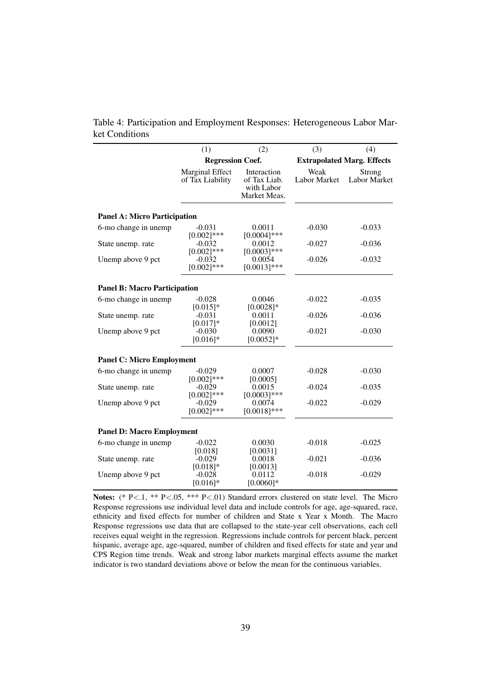|                                     | (1)                                 | (2)                                                       | (3)                               | (4)                    |  |  |  |  |
|-------------------------------------|-------------------------------------|-----------------------------------------------------------|-----------------------------------|------------------------|--|--|--|--|
|                                     | <b>Regression Coef.</b>             |                                                           | <b>Extrapolated Marg. Effects</b> |                        |  |  |  |  |
|                                     | Marginal Effect<br>of Tax Liability | Interaction<br>of Tax Liab.<br>with Labor<br>Market Meas. | Weak<br>Labor Market              | Strong<br>Labor Market |  |  |  |  |
| <b>Panel A: Micro Participation</b> |                                     |                                                           |                                   |                        |  |  |  |  |
| 6-mo change in unemp                | $-0.031$<br>$[0.002]$ ***           | 0.0011<br>$[0.0004]$ ***                                  | $-0.030$                          | $-0.033$               |  |  |  |  |
| State unemp. rate                   | $-0.032$<br>$[0.002]$ ***           | 0.0012<br>$[0.0003]$ ***                                  | $-0.027$                          | $-0.036$               |  |  |  |  |
| Unemp above 9 pct                   | $-0.032$<br>$[0.002]$ ***           | 0.0054<br>$[0.0013]***$                                   | $-0.026$                          | $-0.032$               |  |  |  |  |
| <b>Panel B: Macro Participation</b> |                                     |                                                           |                                   |                        |  |  |  |  |
| 6-mo change in unemp                | $-0.028$<br>$[0.015]*$              | 0.0046<br>$[0.0028]$ *                                    | $-0.022$                          | $-0.035$               |  |  |  |  |
| State unemp. rate                   | $-0.031$<br>$[0.017]*$              | 0.0011<br>[0.0012]                                        | $-0.026$                          | $-0.036$               |  |  |  |  |
| Unemp above 9 pct                   | $-0.030$<br>$[0.016]$ *             | 0.0090<br>$[0.0052]*$                                     | $-0.021$                          | $-0.030$               |  |  |  |  |
| <b>Panel C: Micro Employment</b>    |                                     |                                                           |                                   |                        |  |  |  |  |
| 6-mo change in unemp                | $-0.029$<br>$[0.002]$ ***           | 0.0007<br>[0.0005]                                        | $-0.028$                          | $-0.030$               |  |  |  |  |
| State unemp. rate                   | $-0.029$<br>$[0.002]$ ***           | 0.0015<br>$[0.0003]$ ***                                  | $-0.024$                          | $-0.035$               |  |  |  |  |
| Unemp above 9 pct                   | $-0.029$<br>$[0.002]$ ***           | 0.0074<br>$[0.0018]***$                                   | $-0.022$                          | $-0.029$               |  |  |  |  |
| <b>Panel D: Macro Employment</b>    |                                     |                                                           |                                   |                        |  |  |  |  |
| 6-mo change in unemp                | $-0.022$<br>[0.018]                 | 0.0030<br>[0.0031]                                        | $-0.018$                          | $-0.025$               |  |  |  |  |
| State unemp. rate                   | $-0.029$<br>$[0.018]*$              | 0.0018<br>[0.0013]                                        | $-0.021$                          | $-0.036$               |  |  |  |  |
| Unemp above 9 pct                   | $-0.028$<br>$[0.016]*$              | 0.0112<br>$[0.0060]$ *                                    | $-0.018$                          | $-0.029$               |  |  |  |  |

Table 4: Participation and Employment Responses: Heterogeneous Labor Market Conditions

Notes: (\* P<.1, \*\* P<.05, \*\*\* P<.01) Standard errors clustered on state level. The Micro Response regressions use individual level data and include controls for age, age-squared, race, ethnicity and fixed effects for number of children and State x Year x Month. The Macro Response regressions use data that are collapsed to the state-year cell observations, each cell receives equal weight in the regression. Regressions include controls for percent black, percent hispanic, average age, age-squared, number of children and fixed effects for state and year and CPS Region time trends. Weak and strong labor markets marginal effects assume the market indicator is two standard deviations above or below the mean for the continuous variables.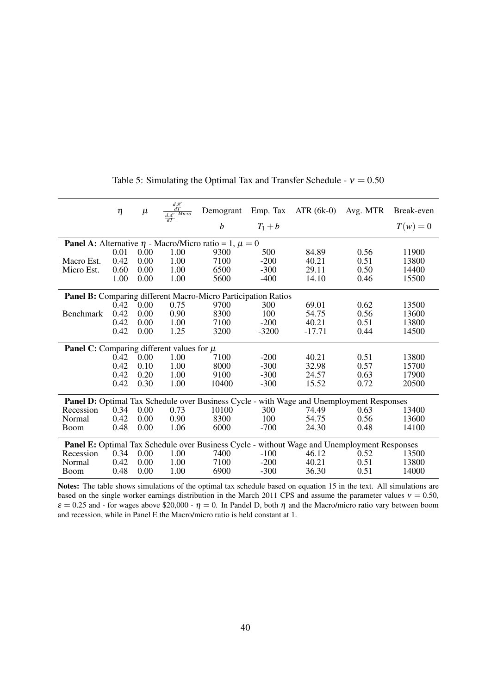|                                                                                                 | $\eta$ |      | $\mu \qquad \tfrac{\frac{d\mathcal{K}}{dT}}{\frac{d\mathcal{K}}{T} \mid^{Micro}}$ |                                                                       |         | Demogrant Emp. Tax ATR (6k-0) | Avg. MTR | Break-even |
|-------------------------------------------------------------------------------------------------|--------|------|-----------------------------------------------------------------------------------|-----------------------------------------------------------------------|---------|-------------------------------|----------|------------|
|                                                                                                 |        |      |                                                                                   | $\boldsymbol{b}$                                                      | $T_1+b$ |                               |          | $T(w)=0$   |
|                                                                                                 |        |      |                                                                                   | <b>Panel A:</b> Alternative $\eta$ - Macro/Micro ratio = 1, $\mu = 0$ |         |                               |          |            |
|                                                                                                 | 0.01   | 0.00 | 1.00                                                                              | 9300                                                                  | 500     | 84.89                         | 0.56     | 11900      |
| Macro Est.                                                                                      | 0.42   | 0.00 | 1.00                                                                              | 7100                                                                  | $-200$  | 40.21                         | 0.51     | 13800      |
| Micro Est.                                                                                      | 0.60   | 0.00 | 1.00                                                                              | 6500                                                                  | $-300$  | 29.11                         | 0.50     | 14400      |
|                                                                                                 | 1.00   | 0.00 | 1.00                                                                              | 5600                                                                  | $-400$  | 14.10                         | 0.46     | 15500      |
|                                                                                                 |        |      |                                                                                   | Panel B: Comparing different Macro-Micro Participation Ratios         |         |                               |          |            |
|                                                                                                 | 0.42   | 0.00 | 0.75                                                                              | 9700                                                                  | 300     | 69.01                         | 0.62     | 13500      |
| <b>Benchmark</b>                                                                                | 0.42   | 0.00 | 0.90                                                                              | 8300                                                                  | 100     | 54.75                         | 0.56     | 13600      |
|                                                                                                 | 0.42   | 0.00 | 1.00                                                                              | 7100                                                                  | $-200$  | 40.21                         | 0.51     | 13800      |
|                                                                                                 | 0.42   | 0.00 | 1.25                                                                              | 3200                                                                  | $-3200$ | $-17.71$                      | 0.44     | 14500      |
| <b>Panel C:</b> Comparing different values for $\mu$                                            |        |      |                                                                                   |                                                                       |         |                               |          |            |
|                                                                                                 | 0.42   | 0.00 | 1.00                                                                              | 7100                                                                  | $-200$  | 40.21                         | 0.51     | 13800      |
|                                                                                                 | 0.42   | 0.10 | 1.00                                                                              | 8000                                                                  | $-300$  | 32.98                         | 0.57     | 15700      |
|                                                                                                 | 0.42   | 0.20 | 1.00                                                                              | 9100                                                                  | $-300$  | 24.57                         | 0.63     | 17900      |
|                                                                                                 | 0.42   | 0.30 | 1.00                                                                              | 10400                                                                 | $-300$  | 15.52                         | 0.72     | 20500      |
| <b>Panel D:</b> Optimal Tax Schedule over Business Cycle - with Wage and Unemployment Responses |        |      |                                                                                   |                                                                       |         |                               |          |            |
| Recession                                                                                       | 0.34   | 0.00 | 0.73                                                                              | 10100                                                                 | 300     | 74.49                         | 0.63     | 13400      |
| Normal                                                                                          | 0.42   | 0.00 | 0.90                                                                              | 8300                                                                  | 100     | 54.75                         | 0.56     | 13600      |
| <b>Boom</b>                                                                                     | 0.48   | 0.00 | 1.06                                                                              | 6000                                                                  | $-700$  | 24.30                         | 0.48     | 14100      |
| Panel E: Optimal Tax Schedule over Business Cycle - without Wage and Unemployment Responses     |        |      |                                                                                   |                                                                       |         |                               |          |            |
| Recession                                                                                       | 0.34   | 0.00 | 1.00                                                                              | 7400                                                                  | $-100$  | 46.12                         | 0.52     | 13500      |
| Normal                                                                                          | 0.42   | 0.00 | 1.00                                                                              | 7100                                                                  | $-200$  | 40.21                         | 0.51     | 13800      |
| <b>Boom</b>                                                                                     | 0.48   | 0.00 | 1.00                                                                              | 6900                                                                  | $-300$  | 36.30                         | 0.51     | 14000      |

Table 5: Simulating the Optimal Tax and Transfer Schedule -  $v = 0.50$ 

Notes: The table shows simulations of the optimal tax schedule based on equation 15 in the text. All simulations are based on the single worker earnings distribution in the March 2011 CPS and assume the parameter values  $v = 0.50$ ,  $\varepsilon = 0.25$  and - for wages above \$20,000 -  $\eta = 0$ . In Pandel D, both  $\eta$  and the Macro/micro ratio vary between boom and recession, while in Panel E the Macro/micro ratio is held constant at 1.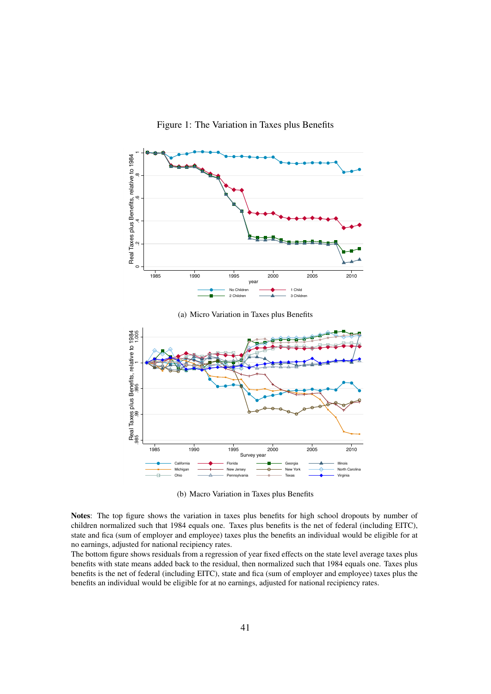Figure 1: The Variation in Taxes plus Benefits



(a) Micro Variation in Taxes plus Benefits



(b) Macro Variation in Taxes plus Benefits

Notes: The top figure shows the variation in taxes plus benefits for high school dropouts by number of children normalized such that 1984 equals one. Taxes plus benefits is the net of federal (including EITC), state and fica (sum of employer and employee) taxes plus the benefits an individual would be eligible for at no earnings, adjusted for national recipiency rates.

The bottom figure shows residuals from a regression of year fixed effects on the state level average taxes plus benefits with state means added back to the residual, then normalized such that 1984 equals one. Taxes plus benefits is the net of federal (including EITC), state and fica (sum of employer and employee) taxes plus the benefits an individual would be eligible for at no earnings, adjusted for national recipiency rates.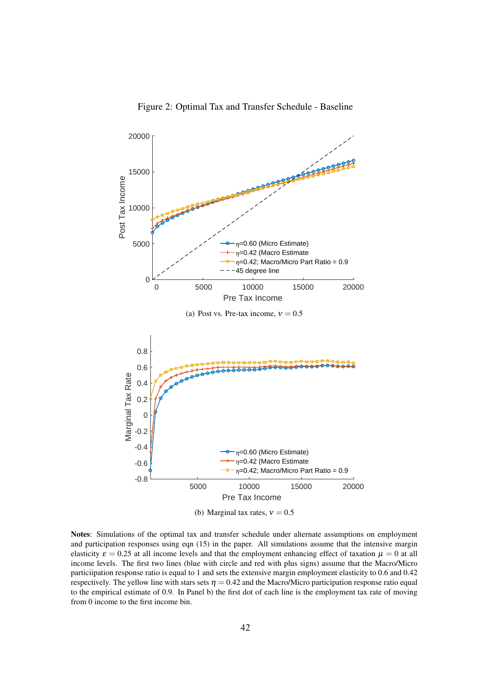

Figure 2: Optimal Tax and Transfer Schedule - Baseline

Notes: Simulations of the optimal tax and transfer schedule under alternate assumptions on employment and participation responses using eqn (15) in the paper. All simulations assume that the intensive margin elasticity  $\varepsilon = 0.25$  at all income levels and that the employment enhancing effect of taxation  $\mu = 0$  at all income levels. The first two lines (blue with circle and red with plus signs) assume that the Macro/Micro particiipation response ratio is equal to 1 and sets the extensive margin employment elasticity to 0.6 and 0.42 respectively. The yellow line with stars sets  $\eta = 0.42$  and the Macro/Micro participation response ratio equal to the empirical estimate of 0.9. In Panel b) the first dot of each line is the employment tax rate of moving from 0 income to the first income bin.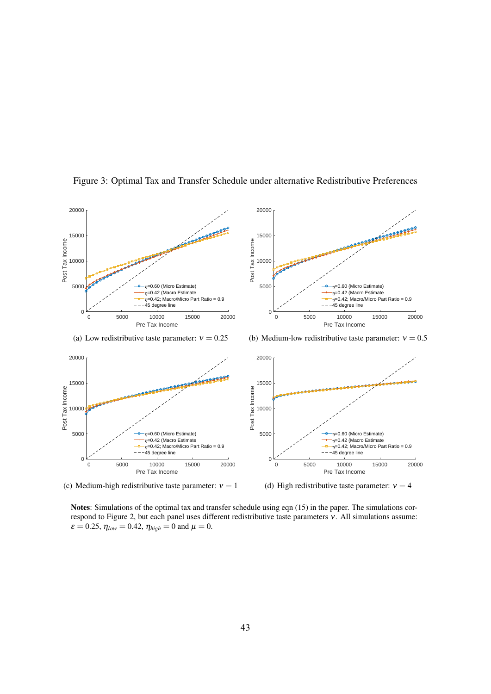

Figure 3: Optimal Tax and Transfer Schedule under alternative Redistributive Preferences

(c) Medium-high redistributive taste parameter:  $v = 1$ 

(d) High redistributive taste parameter:  $v = 4$ 

Notes: Simulations of the optimal tax and transfer schedule using eqn (15) in the paper. The simulations correspond to Figure 2, but each panel uses different redistributive taste parameters ν. All simulations assume:  $\varepsilon = 0.25$ ,  $\eta_{low} = 0.42$ ,  $\eta_{high} = 0$  and  $\mu = 0$ .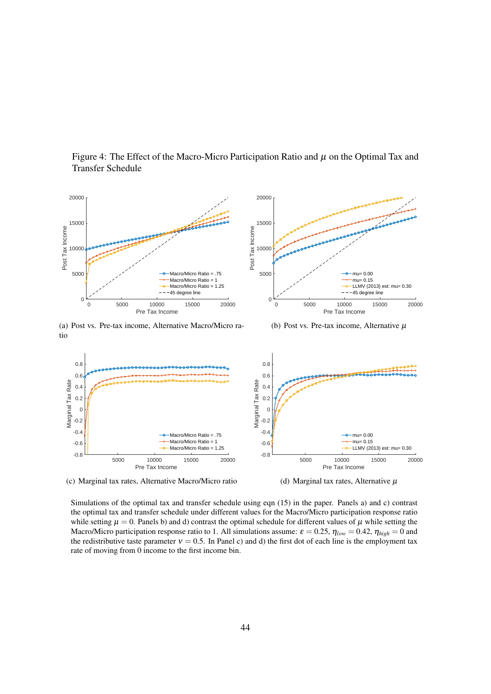

Figure 4: The Effect of the Macro-Micro Participation Ratio and  $\mu$  on the Optimal Tax and Transfer Schedule

(a) Post vs. Pre-tax income, Alternative Macro/Micro ratio

(b) Post vs. Pre-tax income, Alternative  $\mu$ 



(d) Marginal tax rates, Alternative  $\mu$ 

Simulations of the optimal tax and transfer schedule using eqn (15) in the paper. Panels a) and c) contrast the optimal tax and transfer schedule under different values for the Macro/Micro participation response ratio while setting  $\mu = 0$ . Panels b) and d) contrast the optimal schedule for different values of  $\mu$  while setting the Macro/Micro participation response ratio to 1. All simulations assume:  $\varepsilon = 0.25$ ,  $\eta_{low} = 0.42$ ,  $\eta_{high} = 0$  and the redistributive taste parameter  $v = 0.5$ . In Panel c) and d) the first dot of each line is the employment tax rate of moving from 0 income to the first income bin.